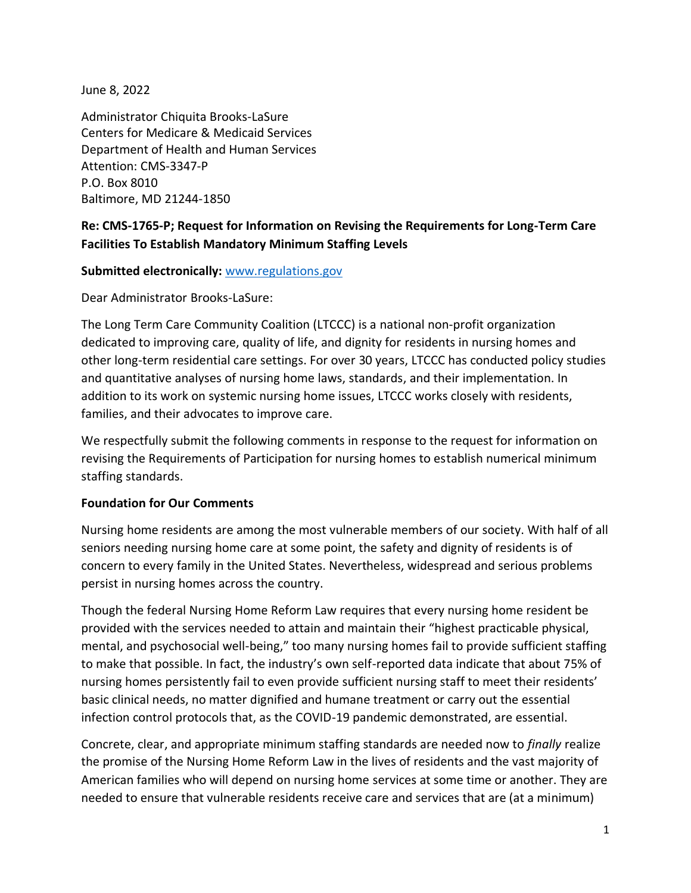June 8, 2022

Administrator Chiquita Brooks-LaSure Centers for Medicare & Medicaid Services Department of Health and Human Services Attention: CMS-3347-P P.O. Box 8010 Baltimore, MD 21244-1850

# **Re: CMS-1765-P; Request for Information on Revising the Requirements for Long-Term Care Facilities To Establish Mandatory Minimum Staffing Levels**

#### **Submitted electronically:** [www.regulations.gov](http://www.regulations.gov/)

Dear Administrator Brooks-LaSure:

The Long Term Care Community Coalition (LTCCC) is a national non-profit organization dedicated to improving care, quality of life, and dignity for residents in nursing homes and other long-term residential care settings. For over 30 years, LTCCC has conducted policy studies and quantitative analyses of nursing home laws, standards, and their implementation. In addition to its work on systemic nursing home issues, LTCCC works closely with residents, families, and their advocates to improve care.

We respectfully submit the following comments in response to the request for information on revising the Requirements of Participation for nursing homes to establish numerical minimum staffing standards.

#### **Foundation for Our Comments**

Nursing home residents are among the most vulnerable members of our society. With half of all seniors needing nursing home care at some point, the safety and dignity of residents is of concern to every family in the United States. Nevertheless, widespread and serious problems persist in nursing homes across the country.

Though the federal Nursing Home Reform Law requires that every nursing home resident be provided with the services needed to attain and maintain their "highest practicable physical, mental, and psychosocial well-being," too many nursing homes fail to provide sufficient staffing to make that possible. In fact, the industry's own self-reported data indicate that about 75% of nursing homes persistently fail to even provide sufficient nursing staff to meet their residents' basic clinical needs, no matter dignified and humane treatment or carry out the essential infection control protocols that, as the COVID-19 pandemic demonstrated, are essential.

Concrete, clear, and appropriate minimum staffing standards are needed now to *finally* realize the promise of the Nursing Home Reform Law in the lives of residents and the vast majority of American families who will depend on nursing home services at some time or another. They are needed to ensure that vulnerable residents receive care and services that are (at a minimum)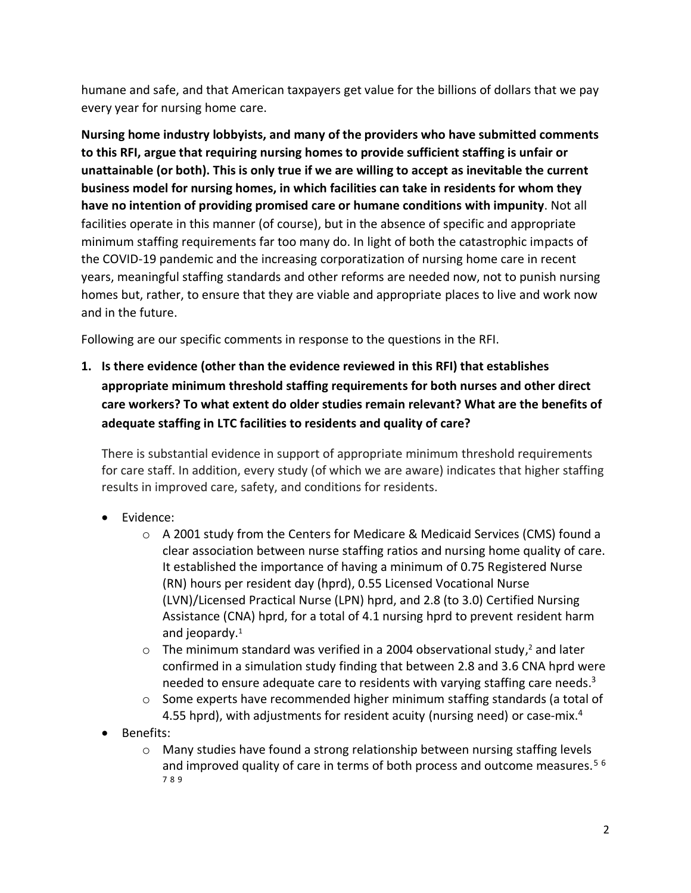humane and safe, and that American taxpayers get value for the billions of dollars that we pay every year for nursing home care.

**Nursing home industry lobbyists, and many of the providers who have submitted comments to this RFI, argue that requiring nursing homes to provide sufficient staffing is unfair or unattainable (or both). This is only true if we are willing to accept as inevitable the current business model for nursing homes, in which facilities can take in residents for whom they have no intention of providing promised care or humane conditions with impunity**. Not all facilities operate in this manner (of course), but in the absence of specific and appropriate minimum staffing requirements far too many do. In light of both the catastrophic impacts of the COVID-19 pandemic and the increasing corporatization of nursing home care in recent years, meaningful staffing standards and other reforms are needed now, not to punish nursing homes but, rather, to ensure that they are viable and appropriate places to live and work now and in the future.

Following are our specific comments in response to the questions in the RFI.

**1. Is there evidence (other than the evidence reviewed in this RFI) that establishes appropriate minimum threshold staffing requirements for both nurses and other direct care workers? To what extent do older studies remain relevant? What are the benefits of adequate staffing in LTC facilities to residents and quality of care?**

There is substantial evidence in support of appropriate minimum threshold requirements for care staff. In addition, every study (of which we are aware) indicates that higher staffing results in improved care, safety, and conditions for residents.

- Evidence:
	- o A 2001 study from the Centers for Medicare & Medicaid Services (CMS) found a clear association between nurse staffing ratios and nursing home quality of care. It established the importance of having a minimum of 0.75 Registered Nurse (RN) hours per resident day (hprd), 0.55 Licensed Vocational Nurse (LVN)/Licensed Practical Nurse (LPN) hprd, and 2.8 (to 3.0) Certified Nursing Assistance (CNA) hprd, for a total of 4.1 nursing hprd to prevent resident harm and jeopardy. $1$
	- $\circ$  The minimum standard was verified in a 2004 observational study,<sup>2</sup> and later confirmed in a simulation study finding that between 2.8 and 3.6 CNA hprd were needed to ensure adequate care to residents with varying staffing care needs.<sup>3</sup>
	- $\circ$  Some experts have recommended higher minimum staffing standards (a total of 4.55 hprd), with adjustments for resident acuity (nursing need) or case-mix.<sup>4</sup>
- Benefits:
	- o Many studies have found a strong relationship between nursing staffing levels and improved quality of care in terms of both process and outcome measures.<sup>56</sup> 7 8 9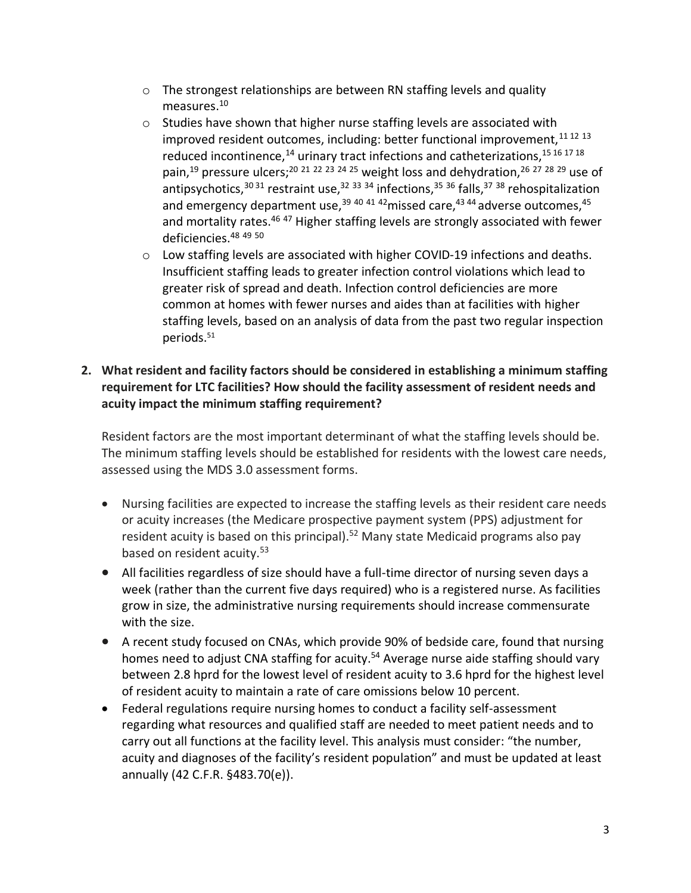- $\circ$  The strongest relationships are between RN staffing levels and quality measures.<sup>10</sup>
- o Studies have shown that higher nurse staffing levels are associated with improved resident outcomes, including: better functional improvement,  $11 12 13$ reduced incontinence,<sup>14</sup> urinary tract infections and catheterizations,<sup>15 16 17 18</sup> pain,<sup>19</sup> pressure ulcers;<sup>20 21 22 23 24 25</sup> weight loss and dehydration,<sup>26 27 28 29</sup> use of antipsychotics,  $30\,31$  restraint use,  $32\,33\,34$  infections,  $35\,36$  falls,  $37\,38$  rehospitalization and emergency department use,  $39$  40 41 42 missed care,  $43$  44 adverse outcomes,  $45$ and mortality rates.<sup>46 47</sup> Higher staffing levels are strongly associated with fewer deficiencies.<sup>48</sup> <sup>49</sup> <sup>50</sup>
- $\circ$  Low staffing levels are associated with higher COVID-19 infections and deaths. Insufficient staffing leads to greater infection control violations which lead to greater risk of spread and death. Infection control deficiencies are more common at homes with fewer nurses and aides than at facilities with higher staffing levels, based on an analysis of data from the past two regular inspection periods.<sup>51</sup>

## **2. What resident and facility factors should be considered in establishing a minimum staffing requirement for LTC facilities? How should the facility assessment of resident needs and acuity impact the minimum staffing requirement?**

Resident factors are the most important determinant of what the staffing levels should be. The minimum staffing levels should be established for residents with the lowest care needs, assessed using the MDS 3.0 assessment forms.

- Nursing facilities are expected to increase the staffing levels as their resident care needs or acuity increases (the Medicare prospective payment system (PPS) adjustment for resident acuity is based on this principal).<sup>52</sup> Many state Medicaid programs also pay based on resident acuity.<sup>53</sup>
- All facilities regardless of size should have a full-time director of nursing seven days a week (rather than the current five days required) who is a registered nurse. As facilities grow in size, the administrative nursing requirements should increase commensurate with the size.
- A recent study focused on CNAs, which provide 90% of bedside care, found that nursing homes need to adjust CNA staffing for acuity.<sup>54</sup> Average nurse aide staffing should vary between 2.8 hprd for the lowest level of resident acuity to 3.6 hprd for the highest level of resident acuity to maintain a rate of care omissions below 10 percent.
- Federal regulations require nursing homes to conduct a facility self-assessment regarding what resources and qualified staff are needed to meet patient needs and to carry out all functions at the facility level. This analysis must consider: "the number, acuity and diagnoses of the facility's resident population" and must be updated at least annually (42 C.F.R. §483.70(e)).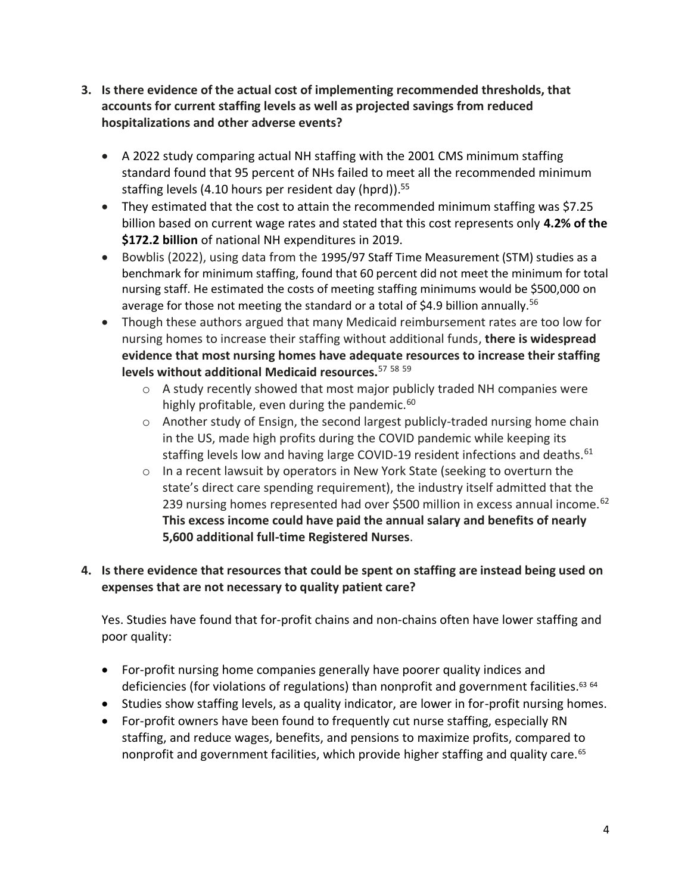- **3. Is there evidence of the actual cost of implementing recommended thresholds, that accounts for current staffing levels as well as projected savings from reduced hospitalizations and other adverse events?**
	- A 2022 study comparing actual NH staffing with the 2001 CMS minimum staffing standard found that 95 percent of NHs failed to meet all the recommended minimum staffing levels (4.10 hours per resident day (hprd)).<sup>55</sup>
	- They estimated that the cost to attain the recommended minimum staffing was \$7.25 billion based on current wage rates and stated that this cost represents only **4.2% of the \$172.2 billion** of national NH expenditures in 2019.
	- Bowblis (2022), using data from the 1995/97 Staff Time Measurement (STM) studies as a benchmark for minimum staffing, found that 60 percent did not meet the minimum for total nursing staff. He estimated the costs of meeting staffing minimums would be \$500,000 on average for those not meeting the standard or a total of \$4.9 billion annually.<sup>56</sup>
	- Though these authors argued that many Medicaid reimbursement rates are too low for nursing homes to increase their staffing without additional funds, **there is widespread evidence that most nursing homes have adequate resources to increase their staffing levels without additional Medicaid resources.**<sup>57</sup> <sup>58</sup> <sup>59</sup>
		- o A study recently showed that most major publicly traded NH companies were highly profitable, even during the pandemic.<sup>60</sup>
		- $\circ$  Another study of Ensign, the second largest publicly-traded nursing home chain in the US, made high profits during the COVID pandemic while keeping its staffing levels low and having large COVID-19 resident infections and deaths.<sup>61</sup>
		- o In a recent lawsuit by operators in New York State (seeking to overturn the state's direct care spending requirement), the industry itself admitted that the 239 nursing homes represented had over \$500 million in excess annual income.  $62$ **This excess income could have paid the annual salary and benefits of nearly 5,600 additional full-time Registered Nurses**.

# **4. Is there evidence that resources that could be spent on staffing are instead being used on expenses that are not necessary to quality patient care?**

Yes. Studies have found that for-profit chains and non-chains often have lower staffing and poor quality:

- For-profit nursing home companies generally have poorer quality indices and deficiencies (for violations of regulations) than nonprofit and government facilities.<sup>63 64</sup>
- Studies show staffing levels, as a quality indicator, are lower in for-profit nursing homes.
- For-profit owners have been found to frequently cut nurse staffing, especially RN staffing, and reduce wages, benefits, and pensions to maximize profits, compared to nonprofit and government facilities, which provide higher staffing and quality care.<sup>65</sup>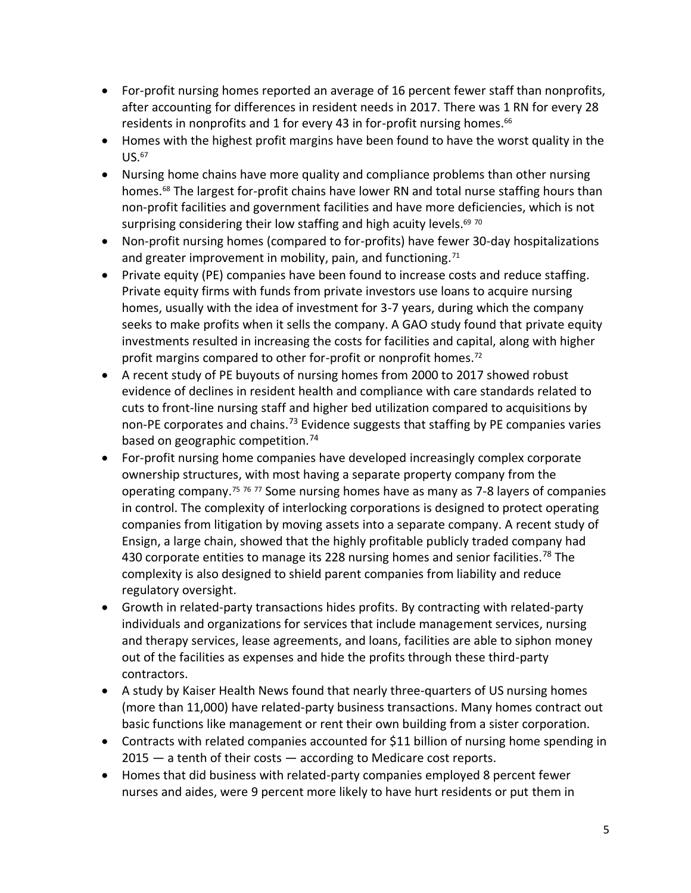- For-profit nursing homes reported an average of 16 percent fewer staff than nonprofits, after accounting for differences in resident needs in 2017. There was 1 RN for every 28 residents in nonprofits and 1 for every 43 in for-profit nursing homes. $66$
- Homes with the highest profit margins have been found to have the worst quality in the  $U$ S.  $67$
- Nursing home chains have more quality and compliance problems than other nursing homes.<sup>68</sup> The largest for-profit chains have lower RN and total nurse staffing hours than non-profit facilities and government facilities and have more deficiencies, which is not surprising considering their low staffing and high acuity levels.<sup>69 70</sup>
- Non-profit nursing homes (compared to for-profits) have fewer 30-day hospitalizations and greater improvement in mobility, pain, and functioning.<sup>71</sup>
- Private equity (PE) companies have been found to increase costs and reduce staffing. Private equity firms with funds from private investors use loans to acquire nursing homes, usually with the idea of investment for 3-7 years, during which the company seeks to make profits when it sells the company. A GAO study found that private equity investments resulted in increasing the costs for facilities and capital, along with higher profit margins compared to other for-profit or nonprofit homes.<sup>72</sup>
- A recent study of PE buyouts of nursing homes from 2000 to 2017 showed robust evidence of declines in resident health and compliance with care standards related to cuts to front-line nursing staff and higher bed utilization compared to acquisitions by non-PE corporates and chains.<sup>73</sup> Evidence suggests that staffing by PE companies varies based on geographic competition.<sup>74</sup>
- For-profit nursing home companies have developed increasingly complex corporate ownership structures, with most having a separate property company from the operating company.<sup>75 76</sup>  $^{77}$  Some nursing homes have as many as 7-8 layers of companies in control. The complexity of interlocking corporations is designed to protect operating companies from litigation by moving assets into a separate company. A recent study of Ensign, a large chain, showed that the highly profitable publicly traded company had 430 corporate entities to manage its 228 nursing homes and senior facilities.<sup>78</sup> The complexity is also designed to shield parent companies from liability and reduce regulatory oversight.
- Growth in related-party transactions hides profits. By contracting with related-party individuals and organizations for services that include management services, nursing and therapy services, lease agreements, and loans, facilities are able to siphon money out of the facilities as expenses and hide the profits through these third-party contractors.
- A study by Kaiser Health News found that nearly three-quarters of US nursing homes (more than 11,000) have related-party business transactions. Many homes contract out basic functions like management or rent their own building from a sister corporation.
- Contracts with related companies accounted for \$11 billion of nursing home spending in  $2015 - a$  tenth of their costs  $-$  according to Medicare cost reports.
- Homes that did business with related-party companies employed 8 percent fewer nurses and aides, were 9 percent more likely to have hurt residents or put them in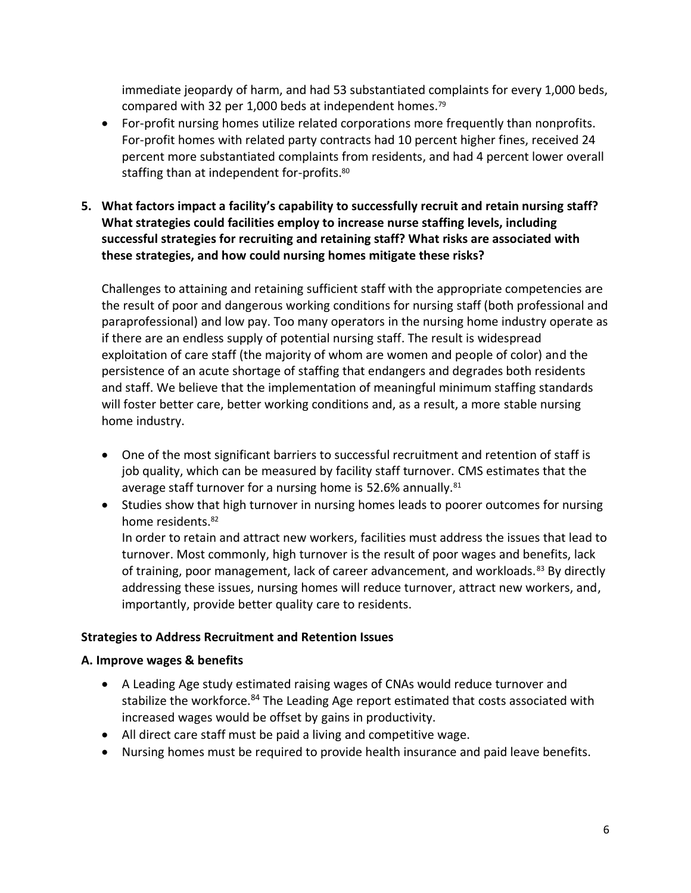immediate jeopardy of harm, and had 53 substantiated complaints for every 1,000 beds, compared with 32 per 1,000 beds at independent homes.<sup>79</sup>

- For-profit nursing homes utilize related corporations more frequently than nonprofits. For-profit homes with related party contracts had 10 percent higher fines, received 24 percent more substantiated complaints from residents, and had 4 percent lower overall staffing than at independent for-profits.<sup>80</sup>
- **5. What factors impact a facility's capability to successfully recruit and retain nursing staff? What strategies could facilities employ to increase nurse staffing levels, including successful strategies for recruiting and retaining staff? What risks are associated with these strategies, and how could nursing homes mitigate these risks?**

Challenges to attaining and retaining sufficient staff with the appropriate competencies are the result of poor and dangerous working conditions for nursing staff (both professional and paraprofessional) and low pay. Too many operators in the nursing home industry operate as if there are an endless supply of potential nursing staff. The result is widespread exploitation of care staff (the majority of whom are women and people of color) and the persistence of an acute shortage of staffing that endangers and degrades both residents and staff. We believe that the implementation of meaningful minimum staffing standards will foster better care, better working conditions and, as a result, a more stable nursing home industry.

- One of the most significant barriers to successful recruitment and retention of staff is job quality, which can be measured by facility staff turnover. CMS estimates that the average staff turnover for a nursing home is 52.6% annually.<sup>81</sup>
- Studies show that high turnover in nursing homes leads to poorer outcomes for nursing home residents.<sup>82</sup>

In order to retain and attract new workers, facilities must address the issues that lead to turnover. Most commonly, high turnover is the result of poor wages and benefits, lack of training, poor management, lack of career advancement, and workloads.<sup>83</sup> By directly addressing these issues, nursing homes will reduce turnover, attract new workers, and, importantly, provide better quality care to residents.

#### **Strategies to Address Recruitment and Retention Issues**

#### **A. Improve wages & benefits**

- A Leading Age study estimated raising wages of CNAs would reduce turnover and stabilize the workforce.<sup>84</sup> The Leading Age report estimated that costs associated with increased wages would be offset by gains in productivity.
- All direct care staff must be paid a living and competitive wage.
- Nursing homes must be required to provide health insurance and paid leave benefits.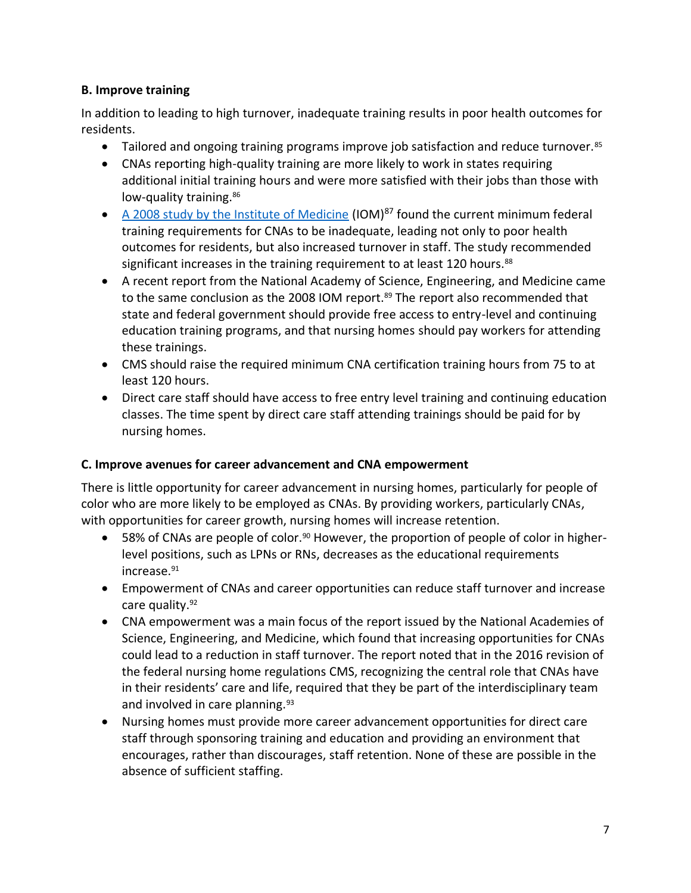## **B. Improve training**

In addition to leading to high turnover, inadequate training results in poor health outcomes for residents.

- Tailored and ongoing training programs improve job satisfaction and reduce turnover.<sup>85</sup>
- CNAs reporting high-quality training are more likely to work in states requiring additional initial training hours and were more satisfied with their jobs than those with low-quality training.<sup>86</sup>
- A 2008 study by the Institute of Medicine (IOM) $87$  found the current minimum federal training requirements for CNAs to be inadequate, leading not only to poor health outcomes for residents, but also increased turnover in staff. The study recommended significant increases in the training requirement to at least 120 hours.<sup>88</sup>
- A recent report from the National Academy of Science, Engineering, and Medicine came to the same conclusion as the 2008 IOM report.<sup>89</sup> The report also recommended that state and federal government should provide free access to entry-level and continuing education training programs, and that nursing homes should pay workers for attending these trainings.
- CMS should raise the required minimum CNA certification training hours from 75 to at least 120 hours.
- Direct care staff should have access to free entry level training and continuing education classes. The time spent by direct care staff attending trainings should be paid for by nursing homes.

# **C. Improve avenues for career advancement and CNA empowerment**

There is little opportunity for career advancement in nursing homes, particularly for people of color who are more likely to be employed as CNAs. By providing workers, particularly CNAs, with opportunities for career growth, nursing homes will increase retention.

- $\bullet$  58% of CNAs are people of color.<sup>90</sup> However, the proportion of people of color in higherlevel positions, such as LPNs or RNs, decreases as the educational requirements increase.<sup>91</sup>
- Empowerment of CNAs and career opportunities can reduce staff turnover and increase care quality.<sup>92</sup>
- CNA empowerment was a main focus of the report issued by the National Academies of Science, Engineering, and Medicine, which found that increasing opportunities for CNAs could lead to a reduction in staff turnover. The report noted that in the 2016 revision of the federal nursing home regulations CMS, recognizing the central role that CNAs have in their residents' care and life, required that they be part of the interdisciplinary team and involved in care planning.<sup>93</sup>
- Nursing homes must provide more career advancement opportunities for direct care staff through sponsoring training and education and providing an environment that encourages, rather than discourages, staff retention. None of these are possible in the absence of sufficient staffing.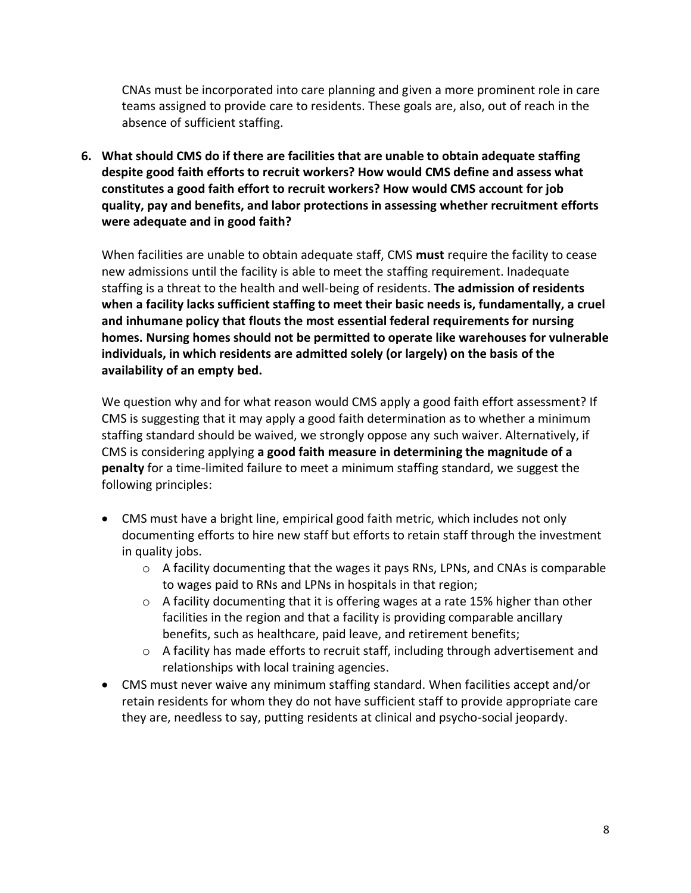CNAs must be incorporated into care planning and given a more prominent role in care teams assigned to provide care to residents. These goals are, also, out of reach in the absence of sufficient staffing.

**6. What should CMS do if there are facilities that are unable to obtain adequate staffing despite good faith efforts to recruit workers? How would CMS define and assess what constitutes a good faith effort to recruit workers? How would CMS account for job quality, pay and benefits, and labor protections in assessing whether recruitment efforts were adequate and in good faith?**

When facilities are unable to obtain adequate staff, CMS **must** require the facility to cease new admissions until the facility is able to meet the staffing requirement. Inadequate staffing is a threat to the health and well-being of residents. **The admission of residents when a facility lacks sufficient staffing to meet their basic needs is, fundamentally, a cruel and inhumane policy that flouts the most essential federal requirements for nursing homes. Nursing homes should not be permitted to operate like warehouses for vulnerable individuals, in which residents are admitted solely (or largely) on the basis of the availability of an empty bed.**

We question why and for what reason would CMS apply a good faith effort assessment? If CMS is suggesting that it may apply a good faith determination as to whether a minimum staffing standard should be waived, we strongly oppose any such waiver. Alternatively, if CMS is considering applying **a good faith measure in determining the magnitude of a penalty** for a time-limited failure to meet a minimum staffing standard, we suggest the following principles:

- CMS must have a bright line, empirical good faith metric, which includes not only documenting efforts to hire new staff but efforts to retain staff through the investment in quality jobs.
	- $\circ$  A facility documenting that the wages it pays RNs, LPNs, and CNAs is comparable to wages paid to RNs and LPNs in hospitals in that region;
	- $\circ$  A facility documenting that it is offering wages at a rate 15% higher than other facilities in the region and that a facility is providing comparable ancillary benefits, such as healthcare, paid leave, and retirement benefits;
	- o A facility has made efforts to recruit staff, including through advertisement and relationships with local training agencies.
- CMS must never waive any minimum staffing standard. When facilities accept and/or retain residents for whom they do not have sufficient staff to provide appropriate care they are, needless to say, putting residents at clinical and psycho-social jeopardy.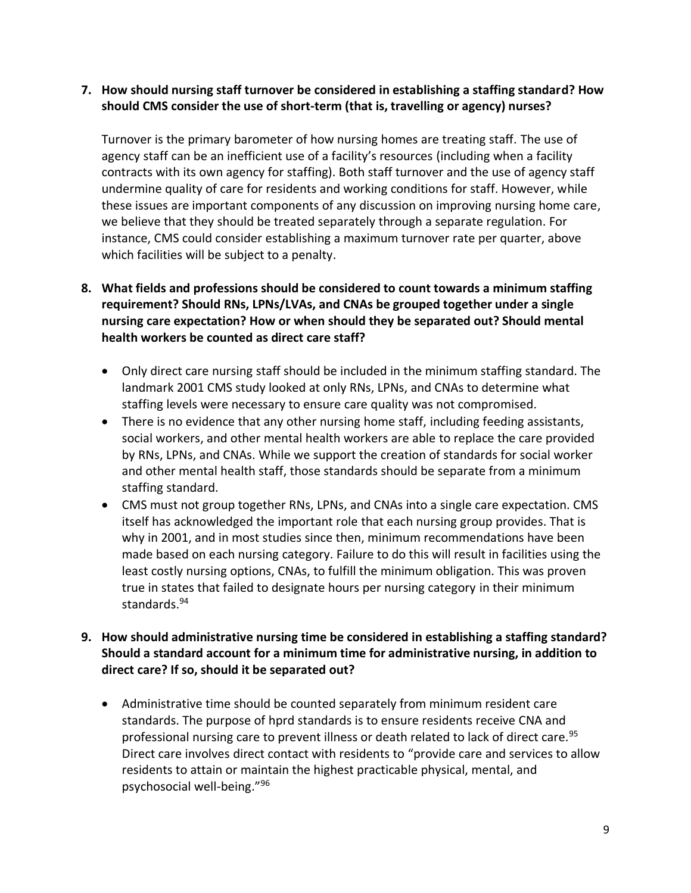#### **7. How should nursing staff turnover be considered in establishing a staffing standard? How should CMS consider the use of short-term (that is, travelling or agency) nurses?**

Turnover is the primary barometer of how nursing homes are treating staff. The use of agency staff can be an inefficient use of a facility's resources (including when a facility contracts with its own agency for staffing). Both staff turnover and the use of agency staff undermine quality of care for residents and working conditions for staff. However, while these issues are important components of any discussion on improving nursing home care, we believe that they should be treated separately through a separate regulation. For instance, CMS could consider establishing a maximum turnover rate per quarter, above which facilities will be subject to a penalty.

## **8. What fields and professions should be considered to count towards a minimum staffing requirement? Should RNs, LPNs/LVAs, and CNAs be grouped together under a single nursing care expectation? How or when should they be separated out? Should mental health workers be counted as direct care staff?**

- Only direct care nursing staff should be included in the minimum staffing standard. The landmark 2001 CMS study looked at only RNs, LPNs, and CNAs to determine what staffing levels were necessary to ensure care quality was not compromised.
- There is no evidence that any other nursing home staff, including feeding assistants, social workers, and other mental health workers are able to replace the care provided by RNs, LPNs, and CNAs. While we support the creation of standards for social worker and other mental health staff, those standards should be separate from a minimum staffing standard.
- CMS must not group together RNs, LPNs, and CNAs into a single care expectation. CMS itself has acknowledged the important role that each nursing group provides. That is why in 2001, and in most studies since then, minimum recommendations have been made based on each nursing category. Failure to do this will result in facilities using the least costly nursing options, CNAs, to fulfill the minimum obligation. This was proven true in states that failed to designate hours per nursing category in their minimum standards. 94

## **9. How should administrative nursing time be considered in establishing a staffing standard? Should a standard account for a minimum time for administrative nursing, in addition to direct care? If so, should it be separated out?**

• Administrative time should be counted separately from minimum resident care standards. The purpose of hprd standards is to ensure residents receive CNA and professional nursing care to prevent illness or death related to lack of direct care.<sup>95</sup> Direct care involves direct contact with residents to "provide care and services to allow residents to attain or maintain the highest practicable physical, mental, and psychosocial well-being."96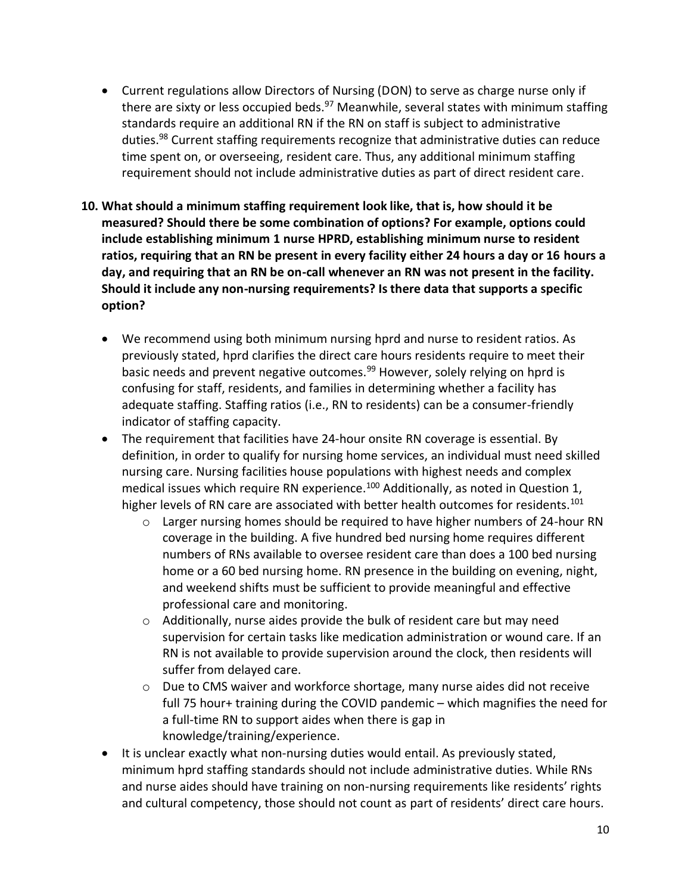- Current regulations allow Directors of Nursing (DON) to serve as charge nurse only if there are sixty or less occupied beds.<sup>97</sup> Meanwhile, several states with minimum staffing standards require an additional RN if the RN on staff is subject to administrative duties.<sup>98</sup> Current staffing requirements recognize that administrative duties can reduce time spent on, or overseeing, resident care. Thus, any additional minimum staffing requirement should not include administrative duties as part of direct resident care.
- **10. What should a minimum staffing requirement look like, that is, how should it be measured? Should there be some combination of options? For example, options could include establishing minimum 1 nurse HPRD, establishing minimum nurse to resident ratios, requiring that an RN be present in every facility either 24 hours a day or 16 hours a day, and requiring that an RN be on-call whenever an RN was not present in the facility. Should it include any non-nursing requirements? Is there data that supports a specific option?**
	- We recommend using both minimum nursing hprd and nurse to resident ratios. As previously stated, hprd clarifies the direct care hours residents require to meet their basic needs and prevent negative outcomes.<sup>99</sup> However, solely relying on hprd is confusing for staff, residents, and families in determining whether a facility has adequate staffing. Staffing ratios (i.e., RN to residents) can be a consumer-friendly indicator of staffing capacity.
	- The requirement that facilities have 24-hour onsite RN coverage is essential. By definition, in order to qualify for nursing home services, an individual must need skilled nursing care. Nursing facilities house populations with highest needs and complex medical issues which require RN experience.<sup>100</sup> Additionally, as noted in Question 1, higher levels of RN care are associated with better health outcomes for residents.<sup>101</sup>
		- $\circ$  Larger nursing homes should be required to have higher numbers of 24-hour RN coverage in the building. A five hundred bed nursing home requires different numbers of RNs available to oversee resident care than does a 100 bed nursing home or a 60 bed nursing home. RN presence in the building on evening, night, and weekend shifts must be sufficient to provide meaningful and effective professional care and monitoring.
		- o Additionally, nurse aides provide the bulk of resident care but may need supervision for certain tasks like medication administration or wound care. If an RN is not available to provide supervision around the clock, then residents will suffer from delayed care.
		- $\circ$  Due to CMS waiver and workforce shortage, many nurse aides did not receive full 75 hour+ training during the COVID pandemic – which magnifies the need for a full-time RN to support aides when there is gap in knowledge/training/experience.
	- It is unclear exactly what non-nursing duties would entail. As previously stated, minimum hprd staffing standards should not include administrative duties. While RNs and nurse aides should have training on non-nursing requirements like residents' rights and cultural competency, those should not count as part of residents' direct care hours.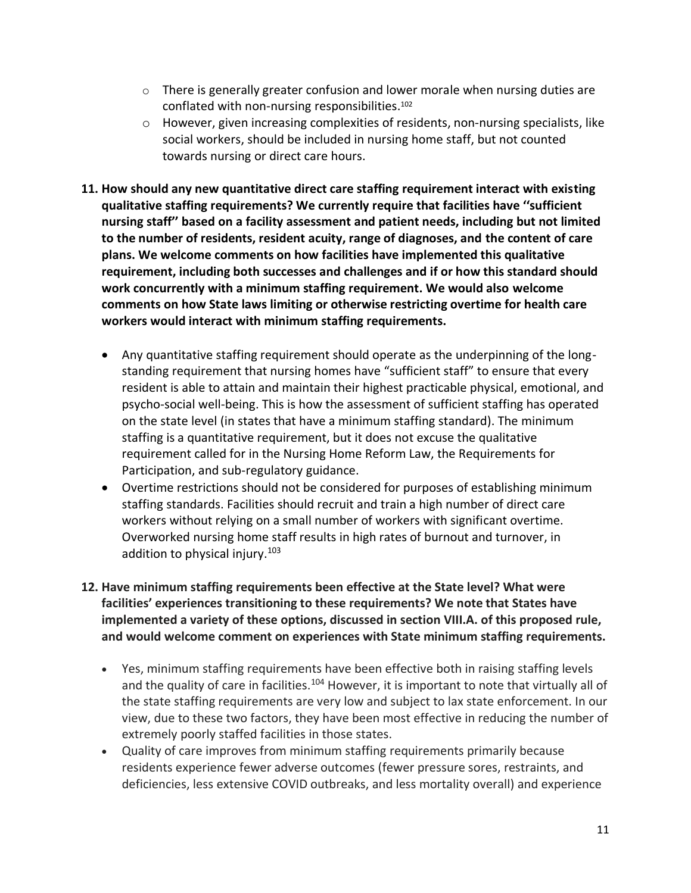- $\circ$  There is generally greater confusion and lower morale when nursing duties are conflated with non-nursing responsibilities. 102
- $\circ$  However, given increasing complexities of residents, non-nursing specialists, like social workers, should be included in nursing home staff, but not counted towards nursing or direct care hours.
- **11. How should any new quantitative direct care staffing requirement interact with existing qualitative staffing requirements? We currently require that facilities have ''sufficient nursing staff'' based on a facility assessment and patient needs, including but not limited to the number of residents, resident acuity, range of diagnoses, and the content of care plans. We welcome comments on how facilities have implemented this qualitative requirement, including both successes and challenges and if or how this standard should work concurrently with a minimum staffing requirement. We would also welcome comments on how State laws limiting or otherwise restricting overtime for health care workers would interact with minimum staffing requirements.**
	- Any quantitative staffing requirement should operate as the underpinning of the longstanding requirement that nursing homes have "sufficient staff" to ensure that every resident is able to attain and maintain their highest practicable physical, emotional, and psycho-social well-being. This is how the assessment of sufficient staffing has operated on the state level (in states that have a minimum staffing standard). The minimum staffing is a quantitative requirement, but it does not excuse the qualitative requirement called for in the Nursing Home Reform Law, the Requirements for Participation, and sub-regulatory guidance.
	- Overtime restrictions should not be considered for purposes of establishing minimum staffing standards. Facilities should recruit and train a high number of direct care workers without relying on a small number of workers with significant overtime. Overworked nursing home staff results in high rates of burnout and turnover, in addition to physical injury.<sup>103</sup>
- **12. Have minimum staffing requirements been effective at the State level? What were facilities' experiences transitioning to these requirements? We note that States have implemented a variety of these options, discussed in section VIII.A. of this proposed rule, and would welcome comment on experiences with State minimum staffing requirements.**
	- Yes, minimum staffing requirements have been effective both in raising staffing levels and the quality of care in facilities.<sup>104</sup> However, it is important to note that virtually all of the state staffing requirements are very low and subject to lax state enforcement. In our view, due to these two factors, they have been most effective in reducing the number of extremely poorly staffed facilities in those states.
	- Quality of care improves from minimum staffing requirements primarily because residents experience fewer adverse outcomes (fewer pressure sores, restraints, and deficiencies, less extensive COVID outbreaks, and less mortality overall) and experience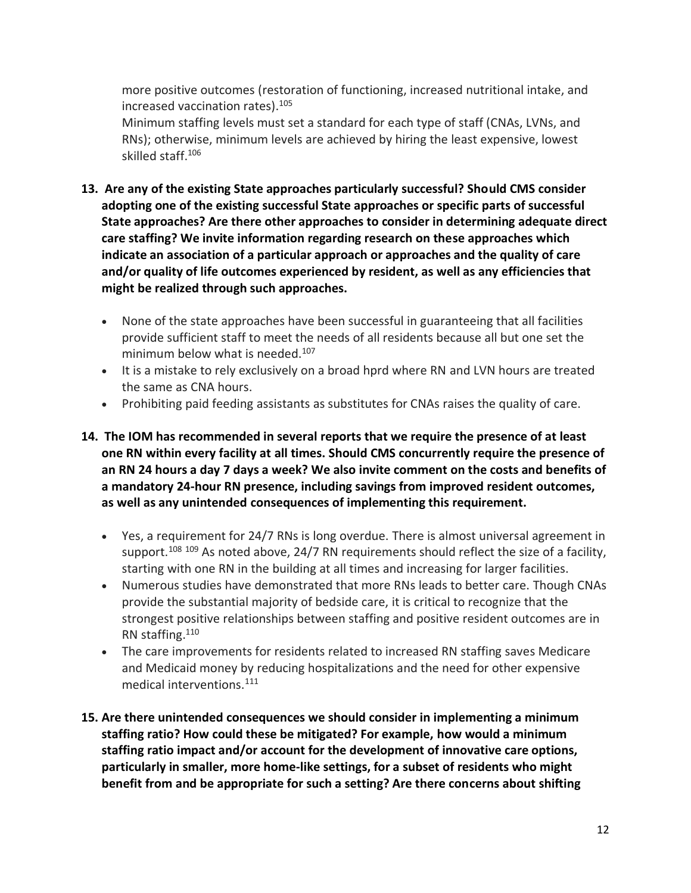more positive outcomes (restoration of functioning, increased nutritional intake, and increased vaccination rates).<sup>105</sup>

Minimum staffing levels must set a standard for each type of staff (CNAs, LVNs, and RNs); otherwise, minimum levels are achieved by hiring the least expensive, lowest skilled staff.<sup>106</sup>

- **13. Are any of the existing State approaches particularly successful? Should CMS consider adopting one of the existing successful State approaches or specific parts of successful State approaches? Are there other approaches to consider in determining adequate direct care staffing? We invite information regarding research on these approaches which indicate an association of a particular approach or approaches and the quality of care and/or quality of life outcomes experienced by resident, as well as any efficiencies that might be realized through such approaches.**
	- None of the state approaches have been successful in guaranteeing that all facilities provide sufficient staff to meet the needs of all residents because all but one set the minimum below what is needed.<sup>107</sup>
	- It is a mistake to rely exclusively on a broad hprd where RN and LVN hours are treated the same as CNA hours.
	- Prohibiting paid feeding assistants as substitutes for CNAs raises the quality of care.
- **14. The IOM has recommended in several reports that we require the presence of at least one RN within every facility at all times. Should CMS concurrently require the presence of an RN 24 hours a day 7 days a week? We also invite comment on the costs and benefits of a mandatory 24-hour RN presence, including savings from improved resident outcomes, as well as any unintended consequences of implementing this requirement.**
	- Yes, a requirement for 24/7 RNs is long overdue. There is almost universal agreement in support.<sup>108 109</sup> As noted above, 24/7 RN requirements should reflect the size of a facility, starting with one RN in the building at all times and increasing for larger facilities.
	- Numerous studies have demonstrated that more RNs leads to better care. Though CNAs provide the substantial majority of bedside care, it is critical to recognize that the strongest positive relationships between staffing and positive resident outcomes are in RN staffing.<sup>110</sup>
	- The care improvements for residents related to increased RN staffing saves Medicare and Medicaid money by reducing hospitalizations and the need for other expensive medical interventions.<sup>111</sup>
- **15. Are there unintended consequences we should consider in implementing a minimum staffing ratio? How could these be mitigated? For example, how would a minimum staffing ratio impact and/or account for the development of innovative care options, particularly in smaller, more home-like settings, for a subset of residents who might benefit from and be appropriate for such a setting? Are there concerns about shifting**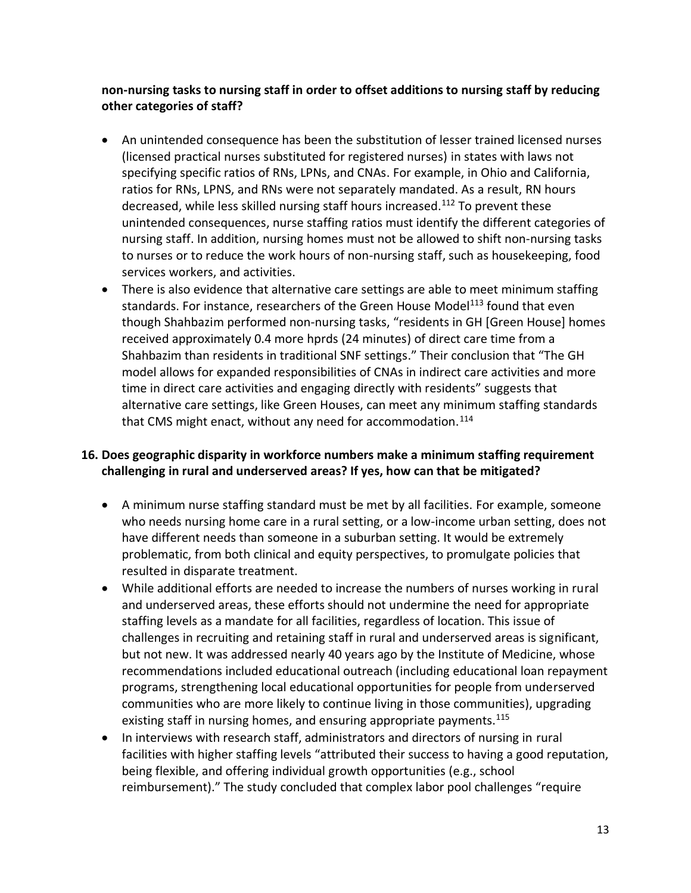**non-nursing tasks to nursing staff in order to offset additions to nursing staff by reducing other categories of staff?**

- An unintended consequence has been the substitution of lesser trained licensed nurses (licensed practical nurses substituted for registered nurses) in states with laws not specifying specific ratios of RNs, LPNs, and CNAs. For example, in Ohio and California, ratios for RNs, LPNS, and RNs were not separately mandated. As a result, RN hours decreased, while less skilled nursing staff hours increased.<sup>112</sup> To prevent these unintended consequences, nurse staffing ratios must identify the different categories of nursing staff. In addition, nursing homes must not be allowed to shift non-nursing tasks to nurses or to reduce the work hours of non-nursing staff, such as housekeeping, food services workers, and activities.
- There is also evidence that alternative care settings are able to meet minimum staffing standards. For instance, researchers of the Green House Model<sup>113</sup> found that even though Shahbazim performed non-nursing tasks, "residents in GH [Green House] homes received approximately 0.4 more hprds (24 minutes) of direct care time from a Shahbazim than residents in traditional SNF settings." Their conclusion that "The GH model allows for expanded responsibilities of CNAs in indirect care activities and more time in direct care activities and engaging directly with residents" suggests that alternative care settings, like Green Houses, can meet any minimum staffing standards that CMS might enact, without any need for accommodation.<sup>114</sup>

## **16. Does geographic disparity in workforce numbers make a minimum staffing requirement challenging in rural and underserved areas? If yes, how can that be mitigated?**

- A minimum nurse staffing standard must be met by all facilities. For example, someone who needs nursing home care in a rural setting, or a low-income urban setting, does not have different needs than someone in a suburban setting. It would be extremely problematic, from both clinical and equity perspectives, to promulgate policies that resulted in disparate treatment.
- While additional efforts are needed to increase the numbers of nurses working in rural and underserved areas, these efforts should not undermine the need for appropriate staffing levels as a mandate for all facilities, regardless of location. This issue of challenges in recruiting and retaining staff in rural and underserved areas is significant, but not new. It was addressed nearly 40 years ago by the Institute of Medicine, whose recommendations included educational outreach (including educational loan repayment programs, strengthening local educational opportunities for people from underserved communities who are more likely to continue living in those communities), upgrading existing staff in nursing homes, and ensuring appropriate payments.<sup>115</sup>
- In interviews with research staff, administrators and directors of nursing in rural facilities with higher staffing levels "attributed their success to having a good reputation, being flexible, and offering individual growth opportunities (e.g., school reimbursement)." The study concluded that complex labor pool challenges "require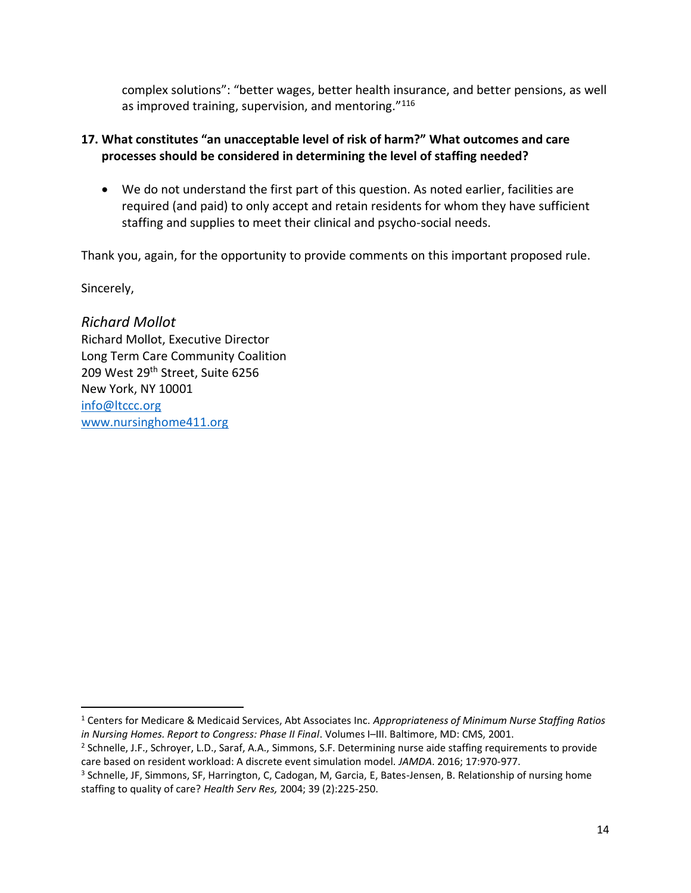complex solutions": "better wages, better health insurance, and better pensions, as well as improved training, supervision, and mentoring."<sup>116</sup>

### **17. What constitutes "an unacceptable level of risk of harm?" What outcomes and care processes should be considered in determining the level of staffing needed?**

• We do not understand the first part of this question. As noted earlier, facilities are required (and paid) to only accept and retain residents for whom they have sufficient staffing and supplies to meet their clinical and psycho-social needs.

Thank you, again, for the opportunity to provide comments on this important proposed rule.

Sincerely,

*Richard Mollot* Richard Mollot, Executive Director Long Term Care Community Coalition 209 West 29<sup>th</sup> Street, Suite 6256 New York, NY 10001 [info@ltccc.org](mailto:info@ltccc.org) [www.nursinghome411.org](http://www.nursinghome411.org/)

<sup>1</sup> Centers for Medicare & Medicaid Services, Abt Associates Inc. *Appropriateness of Minimum Nurse Staffing Ratios in Nursing Homes. Report to Congress: Phase II Final*. Volumes I–III. Baltimore, MD: CMS, 2001.

<sup>2</sup> Schnelle, J.F., Schroyer, L.D., Saraf, A.A., Simmons, S.F. Determining nurse aide staffing requirements to provide care based on resident workload: A discrete event simulation model*. JAMDA*. 2016; 17:970-977.

<sup>3</sup> Schnelle, JF, Simmons, SF, Harrington, C, Cadogan, M, Garcia, E, Bates-Jensen, B. Relationship of nursing home staffing to quality of care? *Health Serv Res,* 2004; 39 (2):225-250.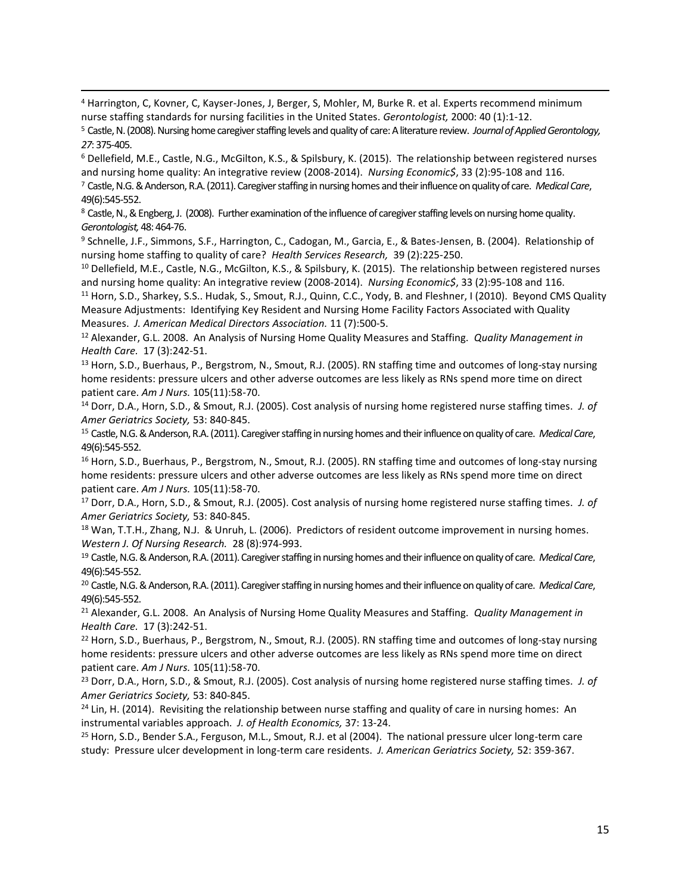<sup>4</sup> Harrington, C, Kovner, C, Kayser-Jones, J, Berger, S, Mohler, M, Burke R. et al. Experts recommend minimum nurse staffing standards for nursing facilities in the United States. *Gerontologist,* 2000: 40 (1):1-12.

<sup>6</sup> Dellefield, M.E., Castle, N.G., McGilton, K.S., & Spilsbury, K. (2015). The relationship between registered nurses and nursing home quality: An integrative review (2008-2014). *Nursing Economic\$*, 33 (2):95-108 and 116. <sup>7</sup> Castle, N.G. & Anderson, R.A. (2011). Caregiver staffing in nursing homes and their influence on quality of care. *Medical Care*, 49(6):545-552.

<sup>8</sup> Castle, N., & Engberg, J. (2008). Further examination of the influence of caregiver staffing levels on nursing home quality. *Gerontologist,* 48: 464-76.

<sup>9</sup> Schnelle, J.F., Simmons, S.F., Harrington, C., Cadogan, M., Garcia, E., & Bates-Jensen, B. (2004). Relationship of nursing home staffing to quality of care? *Health Services Research,* 39 (2):225-250.

<sup>10</sup> Dellefield, M.E., Castle, N.G., McGilton, K.S., & Spilsbury, K. (2015). The relationship between registered nurses and nursing home quality: An integrative review (2008-2014). *Nursing Economic\$*, 33 (2):95-108 and 116.

11 Horn, S.D., Sharkey, S.S.. Hudak, S., Smout, R.J., Quinn, C.C., Yody, B. and Fleshner, I (2010). Beyond CMS Quality Measure Adjustments: Identifying Key Resident and Nursing Home Facility Factors Associated with Quality Measures. *J. American Medical Directors Association.* 11 (7):500-5.

<sup>12</sup> Alexander, G.L. 2008. An Analysis of Nursing Home Quality Measures and Staffing. *Quality Management in Health Care.* 17 (3):242-51.

13 [Horn, S.D.](https://www-ncbi-nlm-nih-gov.ucsf.idm.oclc.org/pubmed/?term=Horn%20SD%5BAuthor%5D&cauthor=true&cauthor_uid=16264305)[, Buerhaus, P.](https://www-ncbi-nlm-nih-gov.ucsf.idm.oclc.org/pubmed/?term=Buerhaus%20P%5BAuthor%5D&cauthor=true&cauthor_uid=16264305), [Bergstrom, N.](https://www-ncbi-nlm-nih-gov.ucsf.idm.oclc.org/pubmed/?term=Bergstrom%20N%5BAuthor%5D&cauthor=true&cauthor_uid=16264305)[, Smout, R.J.](https://www-ncbi-nlm-nih-gov.ucsf.idm.oclc.org/pubmed/?term=Smout%20RJ%5BAuthor%5D&cauthor=true&cauthor_uid=16264305) (2005). RN staffing time and outcomes of long-stay nursing home residents: pressure ulcers and other adverse outcomes are less likely as RNs spend more time on direct patient care. *[Am J Nurs.](https://www-ncbi-nlm-nih-gov.ucsf.idm.oclc.org/pubmed/?term=horn+sd+and+buerhaus+p)* 105(11):58-70.

<sup>14</sup> Dorr, D.A., Horn, S.D., & Smout, R.J. (2005). Cost analysis of nursing home registered nurse staffing times. *J. of Amer Geriatrics Society,* 53: 840-845.

<sup>15</sup> Castle, N.G. & Anderson, R.A. (2011). Caregiver staffing in nursing homes and their influence on quality of care. *Medical Care*, 49(6):545-552.

<sup>16</sup> [Horn, S.D.](https://www-ncbi-nlm-nih-gov.ucsf.idm.oclc.org/pubmed/?term=Horn%20SD%5BAuthor%5D&cauthor=true&cauthor_uid=16264305)[, Buerhaus, P.](https://www-ncbi-nlm-nih-gov.ucsf.idm.oclc.org/pubmed/?term=Buerhaus%20P%5BAuthor%5D&cauthor=true&cauthor_uid=16264305), [Bergstrom, N.](https://www-ncbi-nlm-nih-gov.ucsf.idm.oclc.org/pubmed/?term=Bergstrom%20N%5BAuthor%5D&cauthor=true&cauthor_uid=16264305)[, Smout, R.J.](https://www-ncbi-nlm-nih-gov.ucsf.idm.oclc.org/pubmed/?term=Smout%20RJ%5BAuthor%5D&cauthor=true&cauthor_uid=16264305) (2005). RN staffing time and outcomes of long-stay nursing home residents: pressure ulcers and other adverse outcomes are less likely as RNs spend more time on direct patient care. *[Am J Nurs.](https://www-ncbi-nlm-nih-gov.ucsf.idm.oclc.org/pubmed/?term=horn+sd+and+buerhaus+p)* 105(11):58-70.

<sup>17</sup> Dorr, D.A., Horn, S.D., & Smout, R.J. (2005). Cost analysis of nursing home registered nurse staffing times. *J. of Amer Geriatrics Society,* 53: 840-845.

<sup>18</sup> Wan, T.T.H., Zhang, N.J. & Unruh, L. (2006). Predictors of resident outcome improvement in nursing homes. *Western J. Of Nursing Research.* 28 (8):974-993.

<sup>19</sup> Castle, N.G. & Anderson, R.A. (2011). Caregiver staffing in nursing homes and their influence on quality of care. *Medical Care*, 49(6):545-552.

<sup>20</sup> Castle, N.G. & Anderson, R.A. (2011). Caregiver staffing in nursing homes and their influence on quality of care. *Medical Care*, 49(6):545-552.

<sup>21</sup> Alexander, G.L. 2008. An Analysis of Nursing Home Quality Measures and Staffing. *Quality Management in Health Care.* 17 (3):242-51.

<sup>22</sup> [Horn, S.D.](https://www-ncbi-nlm-nih-gov.ucsf.idm.oclc.org/pubmed/?term=Horn%20SD%5BAuthor%5D&cauthor=true&cauthor_uid=16264305)[, Buerhaus, P.](https://www-ncbi-nlm-nih-gov.ucsf.idm.oclc.org/pubmed/?term=Buerhaus%20P%5BAuthor%5D&cauthor=true&cauthor_uid=16264305), [Bergstrom, N.](https://www-ncbi-nlm-nih-gov.ucsf.idm.oclc.org/pubmed/?term=Bergstrom%20N%5BAuthor%5D&cauthor=true&cauthor_uid=16264305)[, Smout, R.J.](https://www-ncbi-nlm-nih-gov.ucsf.idm.oclc.org/pubmed/?term=Smout%20RJ%5BAuthor%5D&cauthor=true&cauthor_uid=16264305) (2005). RN staffing time and outcomes of long-stay nursing home residents: pressure ulcers and other adverse outcomes are less likely as RNs spend more time on direct patient care. *[Am J Nurs.](https://www-ncbi-nlm-nih-gov.ucsf.idm.oclc.org/pubmed/?term=horn+sd+and+buerhaus+p)* 105(11):58-70.

<sup>23</sup> Dorr, D.A., Horn, S.D., & Smout, R.J. (2005). Cost analysis of nursing home registered nurse staffing times. *J. of Amer Geriatrics Society,* 53: 840-845.

<sup>24</sup> Lin, H. (2014). Revisiting the relationship between nurse staffing and quality of care in nursing homes: An instrumental variables approach. *J. of Health Economics,* 37: 13-24.

<sup>25</sup> Horn, S.D., Bender S.A., Ferguson, M.L., Smout, R.J. et al (2004). The national pressure ulcer long-term care study: Pressure ulcer development in long-term care residents. *J. American Geriatrics Society,* 52: 359-367.

<sup>5</sup> Castle, N. (2008). Nursing home caregiver staffing levels and quality of care: A literature review. *Journal of Applied Gerontology, 27*: 375-405.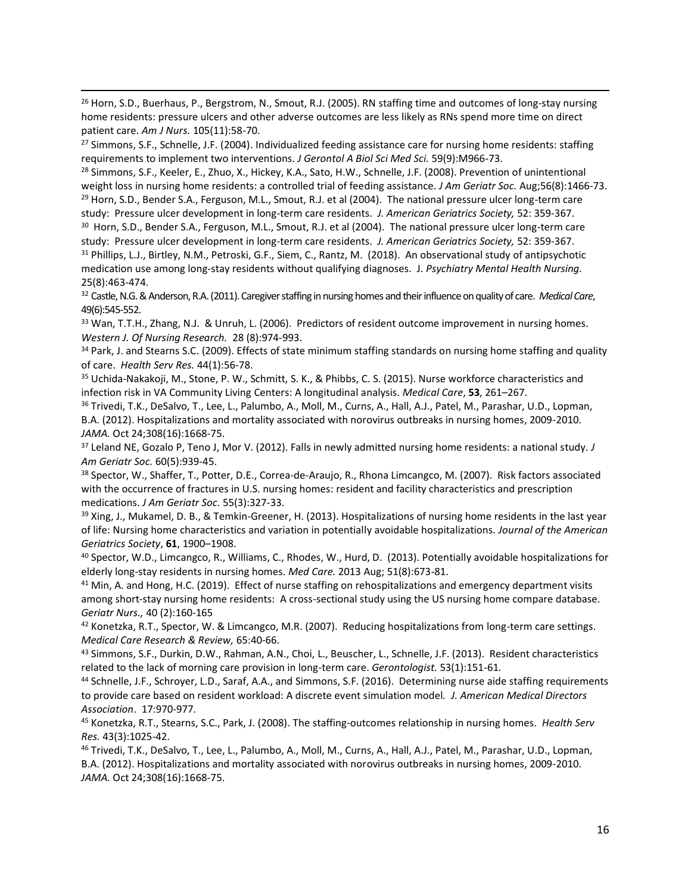<sup>26</sup> [Horn, S.D.](https://www-ncbi-nlm-nih-gov.ucsf.idm.oclc.org/pubmed/?term=Horn%20SD%5BAuthor%5D&cauthor=true&cauthor_uid=16264305)[, Buerhaus, P.](https://www-ncbi-nlm-nih-gov.ucsf.idm.oclc.org/pubmed/?term=Buerhaus%20P%5BAuthor%5D&cauthor=true&cauthor_uid=16264305), [Bergstrom, N.](https://www-ncbi-nlm-nih-gov.ucsf.idm.oclc.org/pubmed/?term=Bergstrom%20N%5BAuthor%5D&cauthor=true&cauthor_uid=16264305)[, Smout, R.J.](https://www-ncbi-nlm-nih-gov.ucsf.idm.oclc.org/pubmed/?term=Smout%20RJ%5BAuthor%5D&cauthor=true&cauthor_uid=16264305) (2005). RN staffing time and outcomes of long-stay nursing home residents: pressure ulcers and other adverse outcomes are less likely as RNs spend more time on direct patient care. *[Am J Nurs.](https://www-ncbi-nlm-nih-gov.ucsf.idm.oclc.org/pubmed/?term=horn+sd+and+buerhaus+p)* 105(11):58-70.

<sup>27</sup> [Simmons, S.F.,](https://www-ncbi-nlm-nih-gov.ucsf.idm.oclc.org/pubmed/?term=Simmons%20SF%5BAuthor%5D&cauthor=true&cauthor_uid=15472163) [Schnelle, J.F.](https://www-ncbi-nlm-nih-gov.ucsf.idm.oclc.org/pubmed/?term=Schnelle%20JF%5BAuthor%5D&cauthor=true&cauthor_uid=15472163) (2004). Individualized feeding assistance care for nursing home residents: staffing requirements to implement two interventions. *[J Gerontol A Biol Sci Med Sci.](https://www-ncbi-nlm-nih-gov.ucsf.idm.oclc.org/pubmed/15472163)* 59(9):M966-73.

<sup>28</sup> [Simmons, S.F.,](https://www-ncbi-nlm-nih-gov.ucsf.idm.oclc.org/pubmed/?term=Simmons%20SF%5BAuthor%5D&cauthor=true&cauthor_uid=18637983) [Keeler, E.](https://www-ncbi-nlm-nih-gov.ucsf.idm.oclc.org/pubmed/?term=Keeler%20E%5BAuthor%5D&cauthor=true&cauthor_uid=18637983)[, Zhuo, X.](https://www-ncbi-nlm-nih-gov.ucsf.idm.oclc.org/pubmed/?term=Zhuo%20X%5BAuthor%5D&cauthor=true&cauthor_uid=18637983)[, Hickey, K.A.,](https://www-ncbi-nlm-nih-gov.ucsf.idm.oclc.org/pubmed/?term=Hickey%20KA%5BAuthor%5D&cauthor=true&cauthor_uid=18637983) [Sato, H.W.](https://www-ncbi-nlm-nih-gov.ucsf.idm.oclc.org/pubmed/?term=Sato%20HW%5BAuthor%5D&cauthor=true&cauthor_uid=18637983)[, Schnelle, J.F.](https://www-ncbi-nlm-nih-gov.ucsf.idm.oclc.org/pubmed/?term=Schnelle%20JF%5BAuthor%5D&cauthor=true&cauthor_uid=18637983) (2008). Prevention of unintentional weight loss in nursing home residents: a controlled trial of feeding assistance. *[J Am Geriatr Soc.](https://www-ncbi-nlm-nih-gov.ucsf.idm.oclc.org/pubmed/18637983)* Aug;56(8):1466-73. <sup>29</sup> Horn, S.D., Bender S.A., Ferguson, M.L., Smout, R.J. et al (2004). The national pressure ulcer long-term care study: Pressure ulcer development in long-term care residents. *J. American Geriatrics Society,* 52: 359-367.

<sup>30</sup> Horn, S.D., Bender S.A., Ferguson, M.L., Smout, R.J. et al (2004). The national pressure ulcer long-term care study: Pressure ulcer development in long-term care residents. *J. American Geriatrics Society,* 52: 359-367. 31 Phillips, L.J., Birtley, N.M., Petroski, G.F., Siem, C., Rantz, M. (2018). An observational study of antipsychotic medication use among long-stay residents without qualifying diagnoses. J. *Psychiatry Mental Health Nursing.* 25(8):463-474.

<sup>32</sup> Castle, N.G. & Anderson, R.A. (2011). Caregiver staffing in nursing homes and their influence on quality of care. *Medical Care*, 49(6):545-552.

33 Wan, T.T.H., Zhang, N.J. & Unruh, L. (2006). Predictors of resident outcome improvement in nursing homes. *Western J. Of Nursing Research.* 28 (8):974-993.

34 [Park, J.](https://www-ncbi-nlm-nih-gov.ucsf.idm.oclc.org/pubmed/?term=Park%20J%5BAuthor%5D&cauthor=true&cauthor_uid=18823448) and [Stearns S.C.](https://www-ncbi-nlm-nih-gov.ucsf.idm.oclc.org/pubmed/?term=Stearns%20SC%5BAuthor%5D&cauthor=true&cauthor_uid=18823448) (2009). Effects of state minimum staffing standards on nursing home staffing and quality of care. *[Health Serv Res.](https://www-ncbi-nlm-nih-gov.ucsf.idm.oclc.org/pubmed/18823448)* 44(1):56-78.

<sup>35</sup> Uchida-Nakakoji, M., Stone, P. W., Schmitt, S. K., & Phibbs, C. S. (2015). Nurse workforce characteristics and infection risk in VA Community Living Centers: A longitudinal analysis. *Medical Care*, **53**, 261–267.

<sup>36</sup> [Trivedi, T.K.](https://www-ncbi-nlm-nih-gov.ucsf.idm.oclc.org/pubmed/?term=Trivedi%20TK%5BAuthor%5D&cauthor=true&cauthor_uid=23079758)[, DeSalvo, T.](https://www-ncbi-nlm-nih-gov.ucsf.idm.oclc.org/pubmed/?term=DeSalvo%20T%5BAuthor%5D&cauthor=true&cauthor_uid=23079758)[, Lee, L.](https://www-ncbi-nlm-nih-gov.ucsf.idm.oclc.org/pubmed/?term=Lee%20L%5BAuthor%5D&cauthor=true&cauthor_uid=23079758), [Palumbo, A.](https://www-ncbi-nlm-nih-gov.ucsf.idm.oclc.org/pubmed/?term=Palumbo%20A%5BAuthor%5D&cauthor=true&cauthor_uid=23079758), [Moll, M.](https://www-ncbi-nlm-nih-gov.ucsf.idm.oclc.org/pubmed/?term=Moll%20M%5BAuthor%5D&cauthor=true&cauthor_uid=23079758), [Curns, A.](https://www-ncbi-nlm-nih-gov.ucsf.idm.oclc.org/pubmed/?term=Curns%20A%5BAuthor%5D&cauthor=true&cauthor_uid=23079758), [Hall, A.J.](https://www-ncbi-nlm-nih-gov.ucsf.idm.oclc.org/pubmed/?term=Hall%20AJ%5BAuthor%5D&cauthor=true&cauthor_uid=23079758), [Patel, M.](https://www-ncbi-nlm-nih-gov.ucsf.idm.oclc.org/pubmed/?term=Patel%20M%5BAuthor%5D&cauthor=true&cauthor_uid=23079758), [Parashar, U.D.](https://www-ncbi-nlm-nih-gov.ucsf.idm.oclc.org/pubmed/?term=Parashar%20UD%5BAuthor%5D&cauthor=true&cauthor_uid=23079758), [Lopman,](https://www-ncbi-nlm-nih-gov.ucsf.idm.oclc.org/pubmed/?term=Lopman%20BA%5BAuthor%5D&cauthor=true&cauthor_uid=23079758)  [B.A.](https://www-ncbi-nlm-nih-gov.ucsf.idm.oclc.org/pubmed/?term=Lopman%20BA%5BAuthor%5D&cauthor=true&cauthor_uid=23079758) (2012). Hospitalizations and mortality associated with norovirus outbreaks in nursing homes, 2009-2010. *[JAMA.](https://www-ncbi-nlm-nih-gov.ucsf.idm.oclc.org/pubmed/?term=triveda+DeSalvo)* Oct 24;308(16):1668-75.

<sup>37</sup> [Leland NE,](https://www-ncbi-nlm-nih-gov.ucsf.idm.oclc.org/pubmed/?term=Leland%20NE%5BAuthor%5D&cauthor=true&cauthor_uid=22587857) [Gozalo P,](https://www-ncbi-nlm-nih-gov.ucsf.idm.oclc.org/pubmed/?term=Gozalo%20P%5BAuthor%5D&cauthor=true&cauthor_uid=22587857) [Teno J,](https://www-ncbi-nlm-nih-gov.ucsf.idm.oclc.org/pubmed/?term=Teno%20J%5BAuthor%5D&cauthor=true&cauthor_uid=22587857) [Mor V.](https://www-ncbi-nlm-nih-gov.ucsf.idm.oclc.org/pubmed/?term=Mor%20V%5BAuthor%5D&cauthor=true&cauthor_uid=22587857) (2012). Falls in newly admitted nursing home residents: a national study. *[J](https://www-ncbi-nlm-nih-gov.ucsf.idm.oclc.org/pubmed/22587857)  [Am Geriatr Soc.](https://www-ncbi-nlm-nih-gov.ucsf.idm.oclc.org/pubmed/22587857)* 60(5):939-45.

<sup>38</sup> [Spector, W.](https://www-ncbi-nlm-nih-gov.ucsf.idm.oclc.org/pubmed/?term=Spector%20W%5BAuthor%5D&cauthor=true&cauthor_uid=17341233), [Shaffer, T.](https://www-ncbi-nlm-nih-gov.ucsf.idm.oclc.org/pubmed/?term=Shaffer%20T%5BAuthor%5D&cauthor=true&cauthor_uid=17341233), [Potter, D.E.](https://www-ncbi-nlm-nih-gov.ucsf.idm.oclc.org/pubmed/?term=Potter%20DE%5BAuthor%5D&cauthor=true&cauthor_uid=17341233), [Correa-de-Araujo, R.](https://www-ncbi-nlm-nih-gov.ucsf.idm.oclc.org/pubmed/?term=Correa-de-Araujo%20R%5BAuthor%5D&cauthor=true&cauthor_uid=17341233)[, Rhona Limcangco, M.](https://www-ncbi-nlm-nih-gov.ucsf.idm.oclc.org/pubmed/?term=Rhona%20Limcangco%20M%5BAuthor%5D&cauthor=true&cauthor_uid=17341233) (2007). Risk factors associated with the occurrence of fractures in U.S. nursing homes: resident and facility characteristics and prescription medications. *[J Am Geriatr Soc.](https://www-ncbi-nlm-nih-gov.ucsf.idm.oclc.org/pubmed/17341233)* 55(3):327-33.

<sup>39</sup> Xing, J., Mukamel, D. B., & Temkin-Greener, H. (2013). Hospitalizations of nursing home residents in the last year of life: Nursing home characteristics and variation in potentially avoidable hospitalizations. *Journal of the American Geriatrics Society*, **61**, 1900–1908.

<sup>40</sup> [Spector, W.D.](https://www-ncbi-nlm-nih-gov.ucsf.idm.oclc.org/pubmed/?term=Spector%20WD%5BAuthor%5D&cauthor=true&cauthor_uid=23703648)[, Limcangco, R.](https://www-ncbi-nlm-nih-gov.ucsf.idm.oclc.org/pubmed/?term=Limcangco%20R%5BAuthor%5D&cauthor=true&cauthor_uid=23703648), [Williams, C.](https://www-ncbi-nlm-nih-gov.ucsf.idm.oclc.org/pubmed/?term=Williams%20C%5BAuthor%5D&cauthor=true&cauthor_uid=23703648), [Rhodes, W.](https://www-ncbi-nlm-nih-gov.ucsf.idm.oclc.org/pubmed/?term=Rhodes%20W%5BAuthor%5D&cauthor=true&cauthor_uid=23703648)[, Hurd, D.](https://www-ncbi-nlm-nih-gov.ucsf.idm.oclc.org/pubmed/?term=Hurd%20D%5BAuthor%5D&cauthor=true&cauthor_uid=23703648) (2013). Potentially avoidable hospitalizations for elderly long-stay residents in nursing homes. *[Med Care.](https://www-ncbi-nlm-nih-gov.ucsf.idm.oclc.org/pubmed/23703648)* 2013 Aug; 51(8):673-81.

<sup>41</sup> Min, A. and Hong, H.C. (2019). Effect of nurse staffing on rehospitalizations and emergency department visits among short-stay nursing home residents: A cross-sectional study using the US nursing home compare database. *Geriatr Nurs.,* 40 (2):160-165

42 Konetzka, R.T., Spector, W. & Limcangco, M.R. (2007). Reducing hospitalizations from long-term care settings. *Medical Care Research & Review,* 65:40-66.

<sup>43</sup> [Simmons, S.F.,](https://www-ncbi-nlm-nih-gov.ucsf.idm.oclc.org/pubmed/?term=Simmons%20SF%5BAuthor%5D&cauthor=true&cauthor_uid=22565494) [Durkin, D.W.](https://www-ncbi-nlm-nih-gov.ucsf.idm.oclc.org/pubmed/?term=Durkin%20DW%5BAuthor%5D&cauthor=true&cauthor_uid=22565494)[, Rahman, A.N.,](https://www-ncbi-nlm-nih-gov.ucsf.idm.oclc.org/pubmed/?term=Rahman%20AN%5BAuthor%5D&cauthor=true&cauthor_uid=22565494) [Choi, L.](https://www-ncbi-nlm-nih-gov.ucsf.idm.oclc.org/pubmed/?term=Choi%20L%5BAuthor%5D&cauthor=true&cauthor_uid=22565494), [Beuscher, L.](https://www-ncbi-nlm-nih-gov.ucsf.idm.oclc.org/pubmed/?term=Beuscher%20L%5BAuthor%5D&cauthor=true&cauthor_uid=22565494), [Schnelle, J.F.](https://www-ncbi-nlm-nih-gov.ucsf.idm.oclc.org/pubmed/?term=Schnelle%20JF%5BAuthor%5D&cauthor=true&cauthor_uid=22565494) (2013). Resident characteristics related to the lack of morning care provision in long-term care. *[Gerontologist.](https://www-ncbi-nlm-nih-gov.ucsf.idm.oclc.org/pubmed/22565494)* 53(1):151-61.

<sup>44</sup> Schnelle, J.F., Schroyer, L.D., Saraf, A.A., and Simmons, S.F. (2016). Determining nurse aide staffing requirements to provide care based on resident workload: A discrete event simulation model*. J. American Medical Directors Association*. 17:970-977.

<sup>45</sup> [Konetzka, R.T.](https://www-ncbi-nlm-nih-gov.ucsf.idm.oclc.org/pubmed/?term=Konetzka%20RT%5BAuthor%5D&cauthor=true&cauthor_uid=18454779), [Stearns, S.C.,](https://www-ncbi-nlm-nih-gov.ucsf.idm.oclc.org/pubmed/?term=Stearns%20SC%5BAuthor%5D&cauthor=true&cauthor_uid=18454779) [Park, J.](https://www-ncbi-nlm-nih-gov.ucsf.idm.oclc.org/pubmed/?term=Park%20J%5BAuthor%5D&cauthor=true&cauthor_uid=18454779) (2008). The staffing-outcomes relationship in nursing homes. *[Health Serv](https://www-ncbi-nlm-nih-gov.ucsf.idm.oclc.org/pubmed/18454779)  [Res.](https://www-ncbi-nlm-nih-gov.ucsf.idm.oclc.org/pubmed/18454779)* 43(3):1025-42.

<sup>46</sup> [Trivedi, T.K.](https://www-ncbi-nlm-nih-gov.ucsf.idm.oclc.org/pubmed/?term=Trivedi%20TK%5BAuthor%5D&cauthor=true&cauthor_uid=23079758)[, DeSalvo, T.](https://www-ncbi-nlm-nih-gov.ucsf.idm.oclc.org/pubmed/?term=DeSalvo%20T%5BAuthor%5D&cauthor=true&cauthor_uid=23079758)[, Lee, L.](https://www-ncbi-nlm-nih-gov.ucsf.idm.oclc.org/pubmed/?term=Lee%20L%5BAuthor%5D&cauthor=true&cauthor_uid=23079758)[, Palumbo, A.](https://www-ncbi-nlm-nih-gov.ucsf.idm.oclc.org/pubmed/?term=Palumbo%20A%5BAuthor%5D&cauthor=true&cauthor_uid=23079758), [Moll, M.](https://www-ncbi-nlm-nih-gov.ucsf.idm.oclc.org/pubmed/?term=Moll%20M%5BAuthor%5D&cauthor=true&cauthor_uid=23079758), [Curns, A.](https://www-ncbi-nlm-nih-gov.ucsf.idm.oclc.org/pubmed/?term=Curns%20A%5BAuthor%5D&cauthor=true&cauthor_uid=23079758), [Hall, A.J.](https://www-ncbi-nlm-nih-gov.ucsf.idm.oclc.org/pubmed/?term=Hall%20AJ%5BAuthor%5D&cauthor=true&cauthor_uid=23079758), [Patel, M.](https://www-ncbi-nlm-nih-gov.ucsf.idm.oclc.org/pubmed/?term=Patel%20M%5BAuthor%5D&cauthor=true&cauthor_uid=23079758), [Parashar, U.D.](https://www-ncbi-nlm-nih-gov.ucsf.idm.oclc.org/pubmed/?term=Parashar%20UD%5BAuthor%5D&cauthor=true&cauthor_uid=23079758), [Lopman,](https://www-ncbi-nlm-nih-gov.ucsf.idm.oclc.org/pubmed/?term=Lopman%20BA%5BAuthor%5D&cauthor=true&cauthor_uid=23079758)  [B.A.](https://www-ncbi-nlm-nih-gov.ucsf.idm.oclc.org/pubmed/?term=Lopman%20BA%5BAuthor%5D&cauthor=true&cauthor_uid=23079758) (2012). Hospitalizations and mortality associated with norovirus outbreaks in nursing homes, 2009-2010. *[JAMA.](https://www-ncbi-nlm-nih-gov.ucsf.idm.oclc.org/pubmed/?term=triveda+DeSalvo)* Oct 24;308(16):1668-75.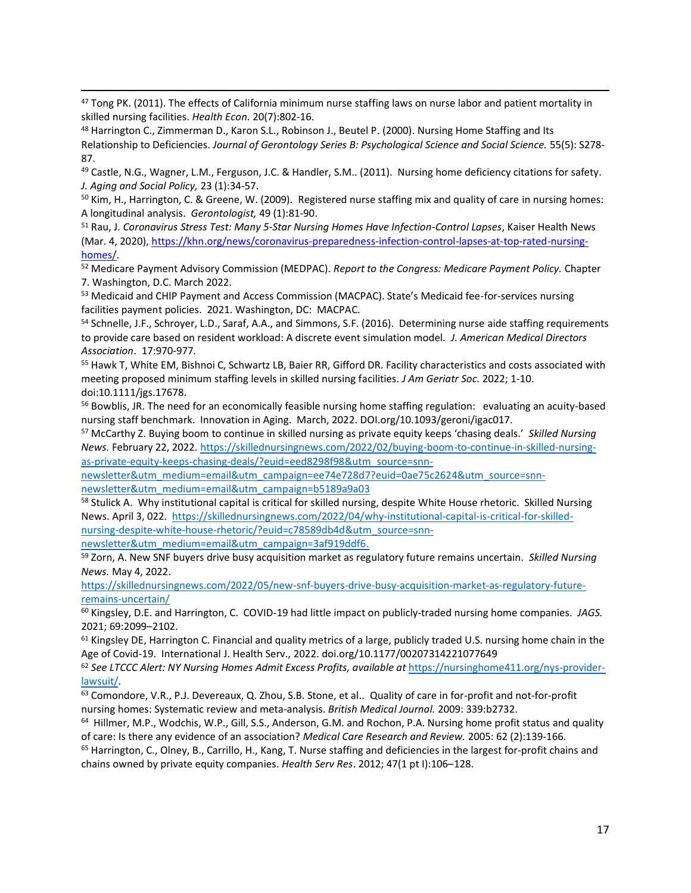<sup>47</sup> [Tong PK.](https://www-ncbi-nlm-nih-gov.ucsf.idm.oclc.org/pubmed/?term=Tong%20PK%5BAuthor%5D&cauthor=true&cauthor_uid=20672247) (2011). The effects of California minimum nurse staffing laws on nurse labor and patient mortality in skilled nursing facilities. *[Health Econ.](https://www-ncbi-nlm-nih-gov.ucsf.idm.oclc.org/pubmed/?term=Tong+PK+2011)* 20(7):802-16.

48 Harrington C., Zimmerman D., Karon S.L., Robinson J., Beutel P. (2000). Nursing Home Staffing and Its Relationship to Deficiencies. *Journal of Gerontology Series B: Psychological Science and Social Science.* 55(5): S278- 87.

<sup>49</sup> Castle, N.G., Wagner, L.M., Ferguson, J.C. & Handler, S.M.. (2011). Nursing home deficiency citations for safety. *J. Aging and Social Policy,* 23 (1):34-57.

<sup>50</sup> Kim, H., Harrington, C. & Greene, W. (2009). Registered nurse staffing mix and quality of care in nursing homes: A longitudinal analysis. *Gerontologist,* 49 (1):81-90.

<sup>51</sup> Rau, J. *Coronavirus Stress Test: Many 5-Star Nursing Homes Have Infection-Control Lapses*, Kaiser Health News (Mar. 4, 2020)[, https://khn.org/news/coronavirus-preparedness-infection-control-lapses-at-top-rated-nursing](https://khn.org/news/coronavirus-preparedness-infection-control-lapses-at-top-rated-nursing-homes/)[homes/.](https://khn.org/news/coronavirus-preparedness-infection-control-lapses-at-top-rated-nursing-homes/) 

<sup>52</sup> Medicare Payment Advisory Commission (MEDPAC). *Report to the Congress: Medicare Payment Policy.* Chapter 7. Washington, D.C. March 2022.

53 Medicaid and CHIP Payment and Access Commission (MACPAC). State's Medicaid fee-for-services nursing facilities payment policies. 2021. Washington, DC: MACPAC.

54 Schnelle, J.F., Schroyer, L.D., Saraf, A.A., and Simmons, S.F. (2016). Determining nurse aide staffing requirements to provide care based on resident workload: A discrete event simulation model*. J. American Medical Directors Association*. 17:970-977.

<sup>55</sup> Hawk T, White EM, Bishnoi C, Schwartz LB, Baier RR, Gifford DR. Facility characteristics and costs associated with meeting proposed minimum staffing levels in skilled nursing facilities. *J Am Geriatr Soc.* 2022; 1-10. doi:10.1111/jgs.17678.

<sup>56</sup> Bowblis, JR. The need for an economically feasible nursing home staffing regulation: evaluating an acuity-based nursing staff benchmark. Innovation in Aging. March, 2022. DOI.org/10.1093/geroni/igac017.

<sup>57</sup> McCarthy Z. Buying boom to continue in skilled nursing as private equity keeps 'chasing deals.' *Skilled Nursing News.* February 22, 2022[. https://skillednursingnews.com/2022/02/buying-boom-to-continue-in-skilled-nursing](https://skillednursingnews.com/2022/02/buying-boom-to-continue-in-skilled-nursing-as-private-equity-keeps-chasing-deals/?euid=eed8298f98&utm_source=snn-newsletter&utm_medium=email&utm_campaign=ee74e728d7?euid=0ae75c2624&utm_source=snn-newsletter&utm_medium=email&utm_campaign=b5189a9a03)[as-private-equity-keeps-chasing-deals/?euid=eed8298f98&utm\\_source=snn-](https://skillednursingnews.com/2022/02/buying-boom-to-continue-in-skilled-nursing-as-private-equity-keeps-chasing-deals/?euid=eed8298f98&utm_source=snn-newsletter&utm_medium=email&utm_campaign=ee74e728d7?euid=0ae75c2624&utm_source=snn-newsletter&utm_medium=email&utm_campaign=b5189a9a03)

[newsletter&utm\\_medium=email&utm\\_campaign=ee74e728d7?euid=0ae75c2624&utm\\_source=snn](https://skillednursingnews.com/2022/02/buying-boom-to-continue-in-skilled-nursing-as-private-equity-keeps-chasing-deals/?euid=eed8298f98&utm_source=snn-newsletter&utm_medium=email&utm_campaign=ee74e728d7?euid=0ae75c2624&utm_source=snn-newsletter&utm_medium=email&utm_campaign=b5189a9a03)[newsletter&utm\\_medium=email&utm\\_campaign=b5189a9a03](https://skillednursingnews.com/2022/02/buying-boom-to-continue-in-skilled-nursing-as-private-equity-keeps-chasing-deals/?euid=eed8298f98&utm_source=snn-newsletter&utm_medium=email&utm_campaign=ee74e728d7?euid=0ae75c2624&utm_source=snn-newsletter&utm_medium=email&utm_campaign=b5189a9a03)

<sup>58</sup> Stulick A. Why institutional capital is critical for skilled nursing, despite White House rhetoric. Skilled Nursing News. April 3, 022. [https://skillednursingnews.com/2022/04/why-institutional-capital-is-critical-for-skilled](https://skillednursingnews.com/2022/04/why-institutional-capital-is-critical-for-skilled-nursing-despite-white-house-rhetoric/?euid=c78589db4d&utm_source=snn-newsletter&utm_medium=email&utm_campaign=3af919ddf6)[nursing-despite-white-house-rhetoric/?euid=c78589db4d&utm\\_source=snn-](https://skillednursingnews.com/2022/04/why-institutional-capital-is-critical-for-skilled-nursing-despite-white-house-rhetoric/?euid=c78589db4d&utm_source=snn-newsletter&utm_medium=email&utm_campaign=3af919ddf6)

[newsletter&utm\\_medium=email&utm\\_campaign=3af919ddf6.](https://skillednursingnews.com/2022/04/why-institutional-capital-is-critical-for-skilled-nursing-despite-white-house-rhetoric/?euid=c78589db4d&utm_source=snn-newsletter&utm_medium=email&utm_campaign=3af919ddf6)

<sup>59</sup> Zorn, A. New SNF buyers drive busy acquisition market as regulatory future remains uncertain. *Skilled Nursing News.* May 4, 2022.

[https://skillednursingnews.com/2022/05/new-snf-buyers-drive-busy-acquisition-market-as-regulatory-future](https://skillednursingnews.com/2022/05/new-snf-buyers-drive-busy-acquisition-market-as-regulatory-future-remains-uncertain/)[remains-uncertain/](https://skillednursingnews.com/2022/05/new-snf-buyers-drive-busy-acquisition-market-as-regulatory-future-remains-uncertain/)

<sup>60</sup> Kingsley, D.E. and Harrington, C. COVID-19 had little impact on publicly-traded nursing home companies. *JAGS.*  2021; 69:2099–2102.

 $61$  Kingsley DE, Harrington C. Financial and quality metrics of a large, publicly traded U.S. nursing home chain in the Age of Covid-19. International J. Health Serv., 2022. doi.org/10.1177/00207314221077649

<sup>62</sup> *See LTCCC Alert: NY Nursing Homes Admit Excess Profits, available at* [https://nursinghome411.org/nys-provider](https://nursinghome411.org/nys-provider-lawsuit/)[lawsuit/.](https://nursinghome411.org/nys-provider-lawsuit/)

63 Comondore, V.R., P.J. Devereaux, Q. Zhou, S.B. Stone, et al.. Quality of care in for-profit and not-for-profit nursing homes: Systematic review and meta-analysis. *British Medical Journal.* 2009: 339:b2732.

64 Hillmer, M.P., Wodchis, W.P., Gill, S.S., Anderson, G.M. and Rochon, P.A. Nursing home profit status and quality of care: Is there any evidence of an association? *Medical Care Research and Review.* 2005: 62 (2):139-166.

<sup>65</sup> Harrington, C., Olney, B., Carrillo, H., Kang, T. Nurse staffing and deficiencies in the largest for-profit chains and chains owned by private equity companies. *Health Serv Res*. 2012; 47(1 pt I):106–128.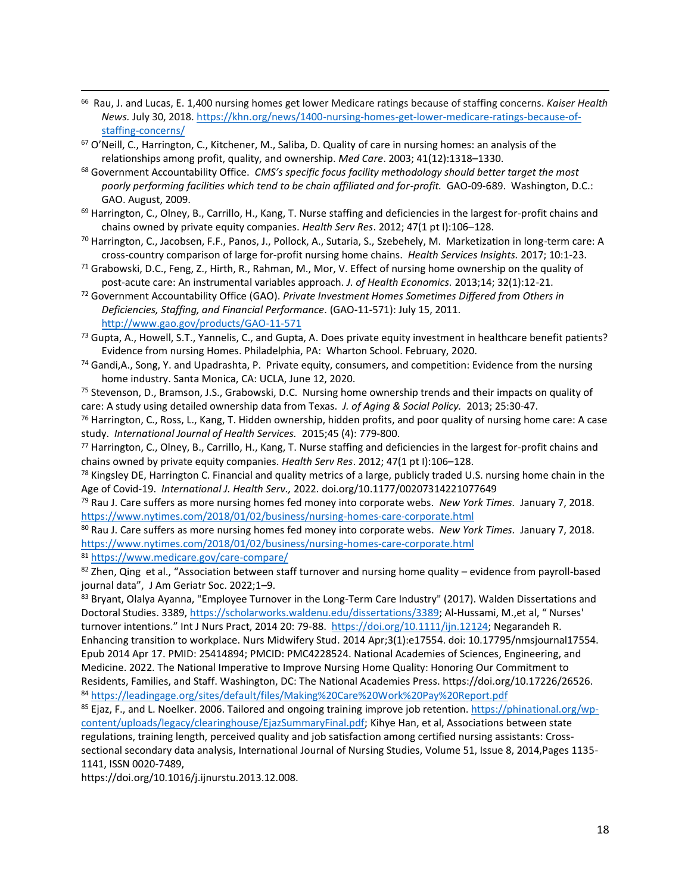66 Rau, J. and Lucas, E. 1,400 nursing homes get lower Medicare ratings because of staffing concerns. *Kaiser Health News.* July 30, 2018[. https://khn.org/news/1400-nursing-homes-get-lower-medicare-ratings-because-of](https://khn.org/news/1400-nursing-homes-get-lower-medicare-ratings-because-of-staffing-concerns/)[staffing-concerns/](https://khn.org/news/1400-nursing-homes-get-lower-medicare-ratings-because-of-staffing-concerns/)

 $67$  O'Neill, C., Harrington, C., Kitchener, M., Saliba, D. Quality of care in nursing homes: an analysis of the relationships among profit, quality, and ownership. *Med Care*. 2003; 41(12):1318–1330.

<sup>68</sup> Government Accountability Office. *CMS's specific focus facility methodology should better target the most*  poorly performing facilities which tend to be chain affiliated and for-profit. GAO-09-689. Washington, D.C.: GAO. August, 2009.

69 Harrington, C., Olney, B., Carrillo, H., Kang, T. Nurse staffing and deficiencies in the largest for-profit chains and chains owned by private equity companies. *Health Serv Res*. 2012; 47(1 pt I):106–128.

<sup>70</sup> Harrington, C., Jacobsen, F.F., Panos, J., Pollock, A., Sutaria, S., Szebehely, M. Marketization in long-term care: A cross-country comparison of large for-profit nursing home chains. *Health Services Insights.* 2017; 10:1-23.

 $71$  Grabowski, D.C., Feng, Z., Hirth, R., Rahman, M., Mor, V. Effect of nursing home ownership on the quality of post-acute care: An instrumental variables approach. *J. of Health Economics.* 2013;14; 32(1):12-21.

<sup>72</sup> Government Accountability Office (GAO). *Private Investment Homes Sometimes Differed from Others in Deficiencies, Staffing, and Financial Performance.* (GAO-11-571): July 15, 2011. <http://www.gao.gov/products/GAO-11-571>

 $^{73}$  Gupta, A., Howell, S.T., Yannelis, C., and Gupta, A. Does private equity investment in healthcare benefit patients? Evidence from nursing Homes. Philadelphia, PA: Wharton School. February, 2020.

<sup>74</sup> Gandi,A., Song, Y. and Upadrashta, P. Private equity, consumers, and competition: Evidence from the nursing home industry. Santa Monica, CA: UCLA, June 12, 2020.

<sup>75</sup> Stevenson, D., Bramson, J.S., Grabowski, D.C. Nursing home ownership trends and their impacts on quality of care: A study using detailed ownership data from Texas. *J. of Aging & Social Policy.* 2013; 25:30-47.

 $76$  Harrington, C., Ross, L., Kang, T. Hidden ownership, hidden profits, and poor quality of nursing home care: A case study. *International Journal of Health Services.* 2015;45 (4): 779-800.

<sup>77</sup> Harrington, C., Olney, B., Carrillo, H., Kang, T. Nurse staffing and deficiencies in the largest for-profit chains and chains owned by private equity companies. *Health Serv Res*. 2012; 47(1 pt I):106–128.

 $78$  Kingsley DE, Harrington C. Financial and quality metrics of a large, publicly traded U.S. nursing home chain in the Age of Covid-19. *International J. Health Serv.,* 2022. doi.org/10.1177/00207314221077649

<sup>79</sup> Rau J. Care suffers as more nursing homes fed money into corporate webs. *New York Times.* January 7, 2018. <https://www.nytimes.com/2018/01/02/business/nursing-homes-care-corporate.html>

<sup>80</sup> Rau J. Care suffers as more nursing homes fed money into corporate webs. *New York Times.* January 7, 2018. <https://www.nytimes.com/2018/01/02/business/nursing-homes-care-corporate.html>

<sup>81</sup> <https://www.medicare.gov/care-compare/>

 $82$  Zhen, Qing et al., "Association between staff turnover and nursing home quality – evidence from payroll-based journal data", J Am Geriatr Soc. 2022;1–9.

83 Bryant, Olalya Ayanna, "Employee Turnover in the Long-Term Care Industry" (2017). Walden Dissertations and Doctoral Studies. 3389, [https://scholarworks.waldenu.edu/dissertations/3389;](https://scholarworks.waldenu.edu/dissertations/3389) Al-Hussami, M.,et al, " Nurses' turnover intentions." Int J Nurs Pract, 2014 20: 79-88. [https://doi.org/10.1111/ijn.12124;](https://doi.org/10.1111/ijn.12124) Negarandeh R.

Enhancing transition to workplace. Nurs Midwifery Stud. 2014 Apr;3(1):e17554. doi: 10.17795/nmsjournal17554. Epub 2014 Apr 17. PMID: 25414894; PMCID: PMC4228524. National Academies of Sciences, Engineering, and Medicine. 2022. The National Imperative to Improve Nursing Home Quality: Honoring Our Commitment to Residents, Families, and Staff. Washington, DC: The National Academies Press. https://doi.org/10.17226/26526. <sup>84</sup> <https://leadingage.org/sites/default/files/Making%20Care%20Work%20Pay%20Report.pdf>

<sup>85</sup> Ejaz, F., and L. Noelker. 2006. Tailored and ongoing training improve job retention. [https://phinational.org/wp](https://phinational.org/wp-content/uploads/legacy/clearinghouse/EjazSummaryFinal.pdf)[content/uploads/legacy/clearinghouse/EjazSummaryFinal.pdf;](https://phinational.org/wp-content/uploads/legacy/clearinghouse/EjazSummaryFinal.pdf) Kihye Han, et al, Associations between state regulations, training length, perceived quality and job satisfaction among certified nursing assistants: Cross-

sectional secondary data analysis, International Journal of Nursing Studies, Volume 51, Issue 8, 2014,Pages 1135- 1141, ISSN 0020-7489,

https://doi.org/10.1016/j.ijnurstu.2013.12.008.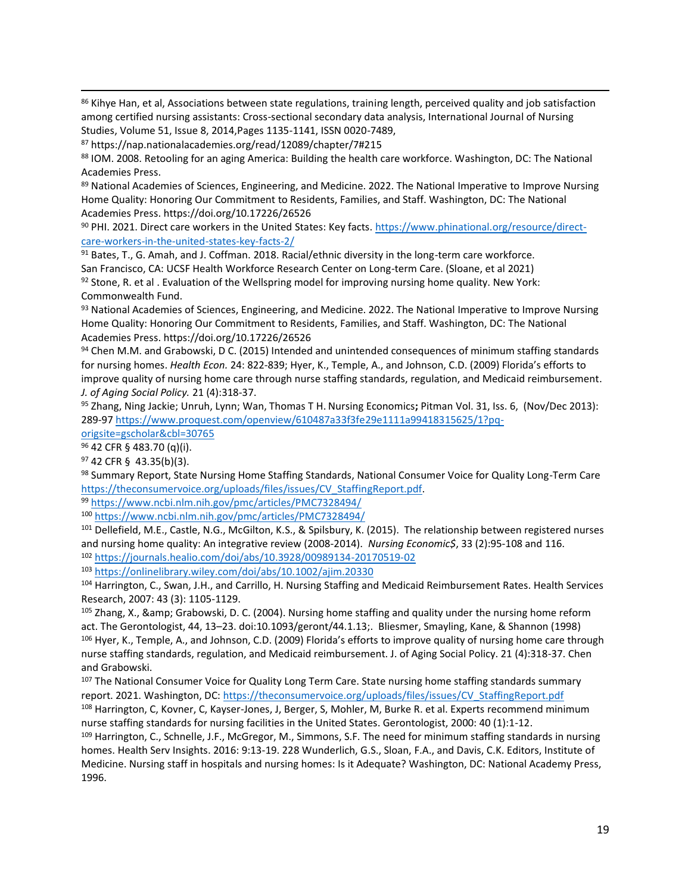<sup>86</sup> Kihye Han, et al, Associations between state regulations, training length, perceived quality and job satisfaction among certified nursing assistants: Cross-sectional secondary data analysis, International Journal of Nursing Studies, Volume 51, Issue 8, 2014,Pages 1135-1141, ISSN 0020-7489,

<sup>87</sup> https://nap.nationalacademies.org/read/12089/chapter/7#215

88 IOM. 2008. Retooling for an aging America: Building the health care workforce. Washington, DC: The National Academies Press.

89 National Academies of Sciences, Engineering, and Medicine. 2022. The National Imperative to Improve Nursing Home Quality: Honoring Our Commitment to Residents, Families, and Staff. Washington, DC: The National Academies Press. https://doi.org/10.17226/26526

<sup>90</sup> PHI. 2021. Direct care workers in the United States: Key facts[. https://www.phinational.org/resource/direct](https://www.phinational.org/resource/direct-care-workers-in-the-united-states-key-facts-2/)[care-workers-in-the-united-states-key-facts-2/](https://www.phinational.org/resource/direct-care-workers-in-the-united-states-key-facts-2/)

91 Bates, T., G. Amah, and J. Coffman. 2018. Racial/ethnic diversity in the long-term care workforce. San Francisco, CA: UCSF Health Workforce Research Center on Long-term Care. (Sloane, et al 2021)  $92$  Stone, R. et al . Evaluation of the Wellspring model for improving nursing home quality. New York: Commonwealth Fund.

93 National Academies of Sciences, Engineering, and Medicine. 2022. The National Imperative to Improve Nursing Home Quality: Honoring Our Commitment to Residents, Families, and Staff. Washington, DC: The National Academies Press. https://doi.org/10.17226/26526

94 Chen M.M. and Grabowski, D C. (2015) Intended and unintended consequences of minimum staffing standards for nursing homes. *Health Econ.* 24: 822-839; Hyer, K., Temple, A., and Johnson, C.D. (2009) Florida's efforts to improve quality of nursing home care through nurse staffing standards, regulation, and Medicaid reimbursement. *J. of Aging Social Policy.* 21 (4):318-37.

<sup>95</sup> [Zhang, Ning Jackie;](https://www.proquest.com/indexinglinkhandler/sng/au/Zhang,+Ning+Jackie/$N;jsessionid=3610193294A14A7AC25424C0D326D2A4.i-0572d6835284c18b2) [Unruh, Lynn;](https://www.proquest.com/indexinglinkhandler/sng/au/Unruh,+Lynn/$N;jsessionid=3610193294A14A7AC25424C0D326D2A4.i-0572d6835284c18b2) [Wan, Thomas T H](https://www.proquest.com/indexinglinkhandler/sng/au/Wan,+Thomas+T+H/$N;jsessionid=3610193294A14A7AC25424C0D326D2A4.i-0572d6835284c18b2). [Nursing Economics](https://www.proquest.com/pubidlinkhandler/sng/pubtitle/Nursing+Economics/$N/30765/OpenView/1477880083/$B/B0015A46C1BF4136PQ/1;jsessionid=3610193294A14A7AC25424C0D326D2A4.i-0572d6835284c18b2)**;** Pitman [Vol.](https://www.proquest.com/indexingvolumeissuelinkhandler/30765/Nursing+Economics/02013Y11Y01$23Nov$2fDec+2013$3b++Vol.+31+$286$29/31/6;jsessionid=3610193294A14A7AC25424C0D326D2A4.i-0572d6835284c18b2) 31, Iss. 6, (Nov/Dec 2013): 289-9[7 https://www.proquest.com/openview/610487a33f3fe29e1111a99418315625/1?pq-](https://www.proquest.com/openview/610487a33f3fe29e1111a99418315625/1?pq-origsite=gscholar&cbl=30765)

[origsite=gscholar&cbl=30765](https://www.proquest.com/openview/610487a33f3fe29e1111a99418315625/1?pq-origsite=gscholar&cbl=30765)

<sup>96</sup> 42 CFR § 483.70 (q)(i).

<sup>97</sup> 42 CFR § 43.35(b)(3).

98 Summary Report, State Nursing Home Staffing Standards, National Consumer Voice for Quality Long-Term Care [https://theconsumervoice.org/uploads/files/issues/CV\\_StaffingReport.pdf.](https://theconsumervoice.org/uploads/files/issues/CV_StaffingReport.pdf)

<sup>99</sup> <https://www.ncbi.nlm.nih.gov/pmc/articles/PMC7328494/>

<sup>100</sup> <https://www.ncbi.nlm.nih.gov/pmc/articles/PMC7328494/>

101 Dellefield, M.E., Castle, N.G., McGilton, K.S., & Spilsbury, K. (2015). The relationship between registered nurses and nursing home quality: An integrative review (2008-2014). *Nursing Economic\$*, 33 (2):95-108 and 116. <sup>102</sup> <https://journals.healio.com/doi/abs/10.3928/00989134-20170519-02>

<sup>103</sup> <https://onlinelibrary.wiley.com/doi/abs/10.1002/ajim.20330>

<sup>104</sup> Harrington, C., Swan, J.H., and Carrillo, H. Nursing Staffing and Medicaid Reimbursement Rates. Health Services Research, 2007: 43 (3): 1105-1129.

<sup>105</sup> Zhang, X., & amp; Grabowski, D. C. (2004). Nursing home staffing and quality under the nursing home reform act. The Gerontologist, 44, 13–23. doi:10.1093/geront/44.1.13;. Bliesmer, Smayling, Kane, & Shannon (1998) 106 Hyer, K., Temple, A., and Johnson, C.D. (2009) Florida's efforts to improve quality of nursing home care through nurse staffing standards, regulation, and Medicaid reimbursement. J. of Aging Social Policy. 21 (4):318-37. Chen and Grabowski.

107 The National Consumer Voice for Quality Long Term Care. State nursing home staffing standards summary report. 2021. Washington, DC: [https://theconsumervoice.org/uploads/files/issues/CV\\_StaffingReport.pdf](https://theconsumervoice.org/uploads/files/issues/CV_StaffingReport.pdf)

<sup>108</sup> Harrington, C, Kovner, C, Kayser-Jones, J, Berger, S, Mohler, M, Burke R. et al. Experts recommend minimum nurse staffing standards for nursing facilities in the United States. Gerontologist, 2000: 40 (1):1-12.

109 Harrington, C., Schnelle, J.F., McGregor, M., Simmons, S.F. The need for minimum staffing standards in nursing homes. Health Serv Insights. 2016: 9:13-19. 228 Wunderlich, G.S., Sloan, F.A., and Davis, C.K. Editors, Institute of Medicine. Nursing staff in hospitals and nursing homes: Is it Adequate? Washington, DC: National Academy Press, 1996.